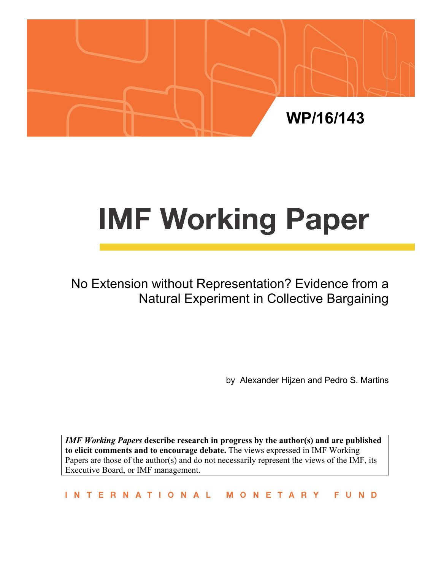

# **IMF Working Paper**

No Extension without Representation? Evidence from a Natural Experiment in Collective Bargaining

by Alexander Hijzen and Pedro S. Martins

*IMF Working Papers* **describe research in progress by the author(s) and are published to elicit comments and to encourage debate.** The views expressed in IMF Working Papers are those of the author(s) and do not necessarily represent the views of the IMF, its Executive Board, or IMF management.

INTERNATIONAL FUND MONETARY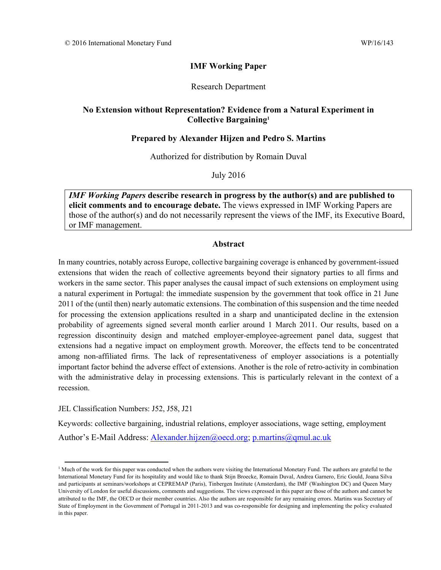## **IMF Working Paper**

#### Research Department

### **No Extension without Representation? Evidence from a Natural Experiment in Collective Bargaining1**

#### **Prepared by Alexander Hijzen and Pedro S. Martins**

Authorized for distribution by Romain Duval

July 2016

*IMF Working Papers* **describe research in progress by the author(s) and are published to elicit comments and to encourage debate.** The views expressed in IMF Working Papers are those of the author(s) and do not necessarily represent the views of the IMF, its Executive Board, or IMF management.

#### **Abstract**

In many countries, notably across Europe, collective bargaining coverage is enhanced by government-issued extensions that widen the reach of collective agreements beyond their signatory parties to all firms and workers in the same sector. This paper analyses the causal impact of such extensions on employment using a natural experiment in Portugal: the immediate suspension by the government that took office in 21 June 2011 of the (until then) nearly automatic extensions. The combination of this suspension and the time needed for processing the extension applications resulted in a sharp and unanticipated decline in the extension probability of agreements signed several month earlier around 1 March 2011. Our results, based on a regression discontinuity design and matched employer-employee-agreement panel data, suggest that extensions had a negative impact on employment growth. Moreover, the effects tend to be concentrated among non-affiliated firms. The lack of representativeness of employer associations is a potentially important factor behind the adverse effect of extensions. Another is the role of retro-activity in combination with the administrative delay in processing extensions. This is particularly relevant in the context of a recession.

JEL Classification Numbers: J52, J58, J21

Keywords: collective bargaining, industrial relations, employer associations, wage setting, employment Author's E-Mail Address: Alexander.hijzen@oecd.org; p.martins@qmul.ac.uk

<sup>&</sup>lt;sup>1</sup> Much of the work for this paper was conducted when the authors were visiting the International Monetary Fund. The authors are grateful to the International Monetary Fund for its hospitality and would like to thank Stijn Broecke, Romain Duval, Andrea Garnero, Eric Gould, Joana Silva and participants at seminars/workshops at CEPREMAP (Paris), Tinbergen Institute (Amsterdam), the IMF (Washington DC) and Queen Mary University of London for useful discussions, comments and suggestions. The views expressed in this paper are those of the authors and cannot be attributed to the IMF, the OECD or their member countries. Also the authors are responsible for any remaining errors. Martins was Secretary of State of Employment in the Government of Portugal in 2011-2013 and was co-responsible for designing and implementing the policy evaluated in this paper.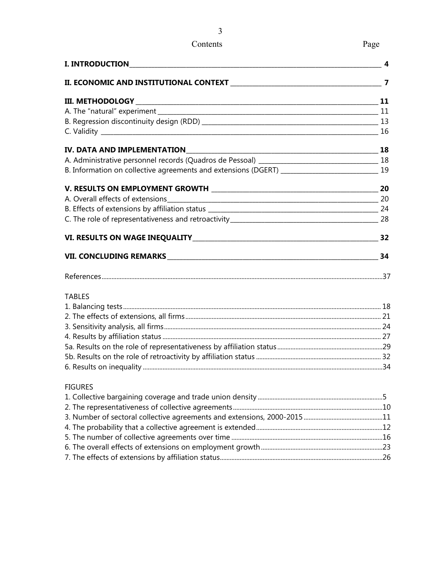## Contents Page

| <b>I. INTRODUCTION</b> | 4  |
|------------------------|----|
|                        |    |
|                        |    |
|                        |    |
|                        |    |
|                        |    |
|                        |    |
|                        |    |
|                        |    |
|                        |    |
|                        |    |
|                        |    |
|                        |    |
|                        |    |
|                        | 34 |
|                        |    |
| <b>TABLES</b>          |    |
|                        |    |
|                        |    |
|                        |    |
|                        |    |
|                        |    |
|                        |    |
|                        |    |
| <b>FIGURES</b>         |    |
|                        |    |
|                        |    |
|                        |    |

4. The probability that a collective agreement is extended ............................................................................. 12 5. The number of collective agreements over time ............................................................................................ 16 6. The overall effects of extensions on employment growth .......................................................................... 23 7. The effects of extensions by affiliation status ................................................................................................... 26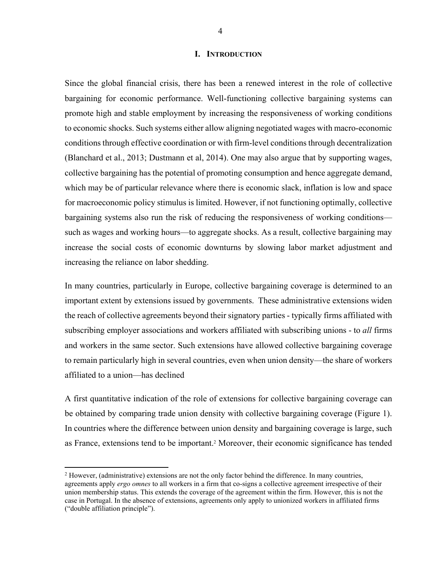#### **I. INTRODUCTION**

Since the global financial crisis, there has been a renewed interest in the role of collective bargaining for economic performance. Well-functioning collective bargaining systems can promote high and stable employment by increasing the responsiveness of working conditions to economic shocks. Such systems either allow aligning negotiated wages with macro-economic conditions through effective coordination or with firm-level conditions through decentralization (Blanchard et al., 2013; Dustmann et al, 2014). One may also argue that by supporting wages, collective bargaining has the potential of promoting consumption and hence aggregate demand, which may be of particular relevance where there is economic slack, inflation is low and space for macroeconomic policy stimulus is limited. However, if not functioning optimally, collective bargaining systems also run the risk of reducing the responsiveness of working conditions such as wages and working hours—to aggregate shocks. As a result, collective bargaining may increase the social costs of economic downturns by slowing labor market adjustment and increasing the reliance on labor shedding.

In many countries, particularly in Europe, collective bargaining coverage is determined to an important extent by extensions issued by governments. These administrative extensions widen the reach of collective agreements beyond their signatory parties - typically firms affiliated with subscribing employer associations and workers affiliated with subscribing unions - to *all* firms and workers in the same sector. Such extensions have allowed collective bargaining coverage to remain particularly high in several countries, even when union density—the share of workers affiliated to a union—has declined

A first quantitative indication of the role of extensions for collective bargaining coverage can be obtained by comparing trade union density with collective bargaining coverage (Figure 1). In countries where the difference between union density and bargaining coverage is large, such as France, extensions tend to be important.2 Moreover, their economic significance has tended

<sup>&</sup>lt;sup>2</sup> However, (administrative) extensions are not the only factor behind the difference. In many countries, agreements apply *ergo omnes* to all workers in a firm that co-signs a collective agreement irrespective of their union membership status. This extends the coverage of the agreement within the firm. However, this is not the case in Portugal. In the absence of extensions, agreements only apply to unionized workers in affiliated firms ("double affiliation principle").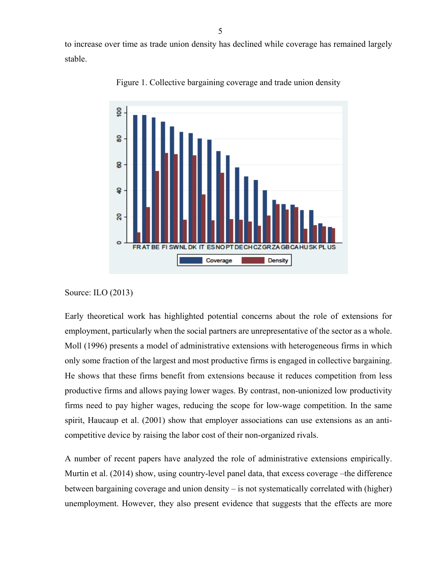to increase over time as trade union density has declined while coverage has remained largely stable.



Figure 1. Collective bargaining coverage and trade union density

Source: ILO (2013)

Early theoretical work has highlighted potential concerns about the role of extensions for employment, particularly when the social partners are unrepresentative of the sector as a whole. Moll (1996) presents a model of administrative extensions with heterogeneous firms in which only some fraction of the largest and most productive firms is engaged in collective bargaining. He shows that these firms benefit from extensions because it reduces competition from less productive firms and allows paying lower wages. By contrast, non-unionized low productivity firms need to pay higher wages, reducing the scope for low-wage competition. In the same spirit, Haucaup et al. (2001) show that employer associations can use extensions as an anticompetitive device by raising the labor cost of their non-organized rivals.

A number of recent papers have analyzed the role of administrative extensions empirically. Murtin et al. (2014) show, using country-level panel data, that excess coverage –the difference between bargaining coverage and union density – is not systematically correlated with (higher) unemployment. However, they also present evidence that suggests that the effects are more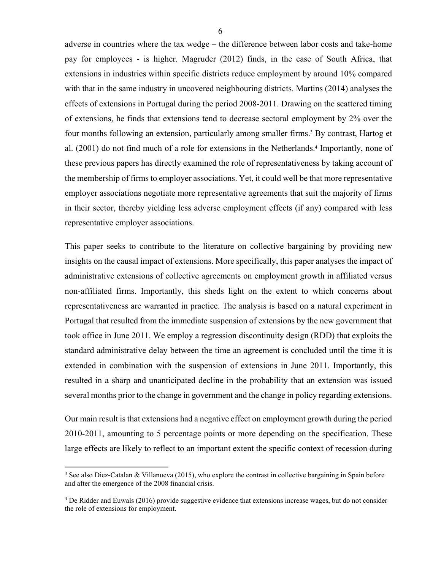adverse in countries where the tax wedge – the difference between labor costs and take-home pay for employees - is higher. Magruder (2012) finds, in the case of South Africa, that extensions in industries within specific districts reduce employment by around 10% compared with that in the same industry in uncovered neighbouring districts. Martins (2014) analyses the effects of extensions in Portugal during the period 2008-2011. Drawing on the scattered timing of extensions, he finds that extensions tend to decrease sectoral employment by 2% over the four months following an extension, particularly among smaller firms.<sup>3</sup> By contrast, Hartog et al. (2001) do not find much of a role for extensions in the Netherlands.<sup>4</sup> Importantly, none of these previous papers has directly examined the role of representativeness by taking account of the membership of firms to employer associations. Yet, it could well be that more representative employer associations negotiate more representative agreements that suit the majority of firms in their sector, thereby yielding less adverse employment effects (if any) compared with less representative employer associations.

This paper seeks to contribute to the literature on collective bargaining by providing new insights on the causal impact of extensions. More specifically, this paper analyses the impact of administrative extensions of collective agreements on employment growth in affiliated versus non-affiliated firms. Importantly, this sheds light on the extent to which concerns about representativeness are warranted in practice. The analysis is based on a natural experiment in Portugal that resulted from the immediate suspension of extensions by the new government that took office in June 2011. We employ a regression discontinuity design (RDD) that exploits the standard administrative delay between the time an agreement is concluded until the time it is extended in combination with the suspension of extensions in June 2011. Importantly, this resulted in a sharp and unanticipated decline in the probability that an extension was issued several months prior to the change in government and the change in policy regarding extensions.

Our main result is that extensions had a negative effect on employment growth during the period 2010-2011, amounting to 5 percentage points or more depending on the specification. These large effects are likely to reflect to an important extent the specific context of recession during

<sup>3</sup> See also Diez-Catalan & Villanueva (2015), who explore the contrast in collective bargaining in Spain before and after the emergence of the 2008 financial crisis.

<sup>4</sup> De Ridder and Euwals (2016) provide suggestive evidence that extensions increase wages, but do not consider the role of extensions for employment.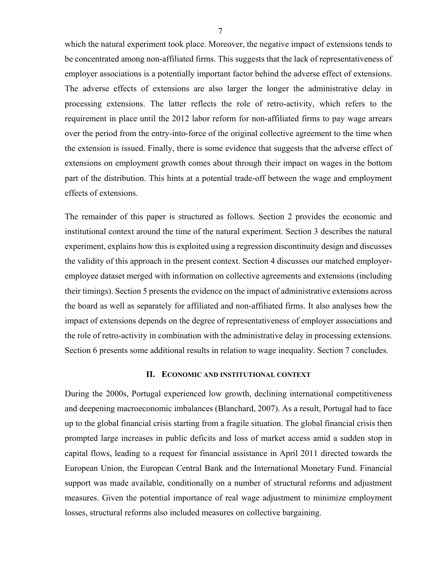which the natural experiment took place. Moreover, the negative impact of extensions tends to be concentrated among non-affiliated firms. This suggests that the lack of representativeness of employer associations is a potentially important factor behind the adverse effect of extensions. The adverse effects of extensions are also larger the longer the administrative delay in processing extensions. The latter reflects the role of retro-activity, which refers to the requirement in place until the 2012 labor reform for non-affiliated firms to pay wage arrears over the period from the entry-into-force of the original collective agreement to the time when the extension is issued. Finally, there is some evidence that suggests that the adverse effect of extensions on employment growth comes about through their impact on wages in the bottom part of the distribution. This hints at a potential trade-off between the wage and employment effects of extensions.

The remainder of this paper is structured as follows. Section 2 provides the economic and institutional context around the time of the natural experiment. Section 3 describes the natural experiment, explains how this is exploited using a regression discontinuity design and discusses the validity of this approach in the present context. Section 4 discusses our matched employeremployee dataset merged with information on collective agreements and extensions (including their timings). Section 5 presents the evidence on the impact of administrative extensions across the board as well as separately for affiliated and non-affiliated firms. It also analyses how the impact of extensions depends on the degree of representativeness of employer associations and the role of retro-activity in combination with the administrative delay in processing extensions. Section 6 presents some additional results in relation to wage inequality. Section 7 concludes.

#### **II. ECONOMIC AND INSTITUTIONAL CONTEXT**

During the 2000s, Portugal experienced low growth, declining international competitiveness and deepening macroeconomic imbalances (Blanchard, 2007). As a result, Portugal had to face up to the global financial crisis starting from a fragile situation. The global financial crisis then prompted large increases in public deficits and loss of market access amid a sudden stop in capital flows, leading to a request for financial assistance in April 2011 directed towards the European Union, the European Central Bank and the International Monetary Fund. Financial support was made available, conditionally on a number of structural reforms and adjustment measures. Given the potential importance of real wage adjustment to minimize employment losses, structural reforms also included measures on collective bargaining.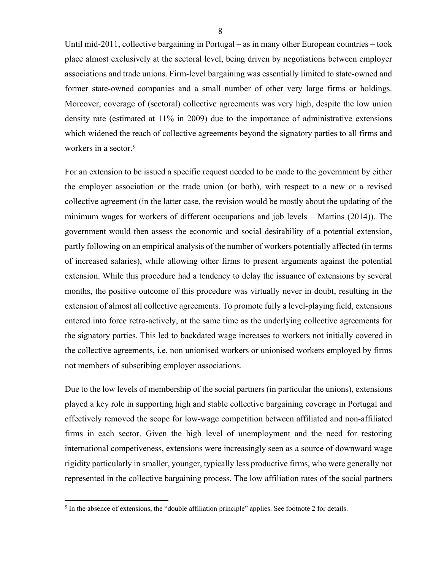Until mid-2011, collective bargaining in Portugal – as in many other European countries – took place almost exclusively at the sectoral level, being driven by negotiations between employer associations and trade unions. Firm-level bargaining was essentially limited to state-owned and former state-owned companies and a small number of other very large firms or holdings. Moreover, coverage of (sectoral) collective agreements was very high, despite the low union density rate (estimated at 11% in 2009) due to the importance of administrative extensions which widened the reach of collective agreements beyond the signatory parties to all firms and workers in a sector.<sup>5</sup>

For an extension to be issued a specific request needed to be made to the government by either the employer association or the trade union (or both), with respect to a new or a revised collective agreement (in the latter case, the revision would be mostly about the updating of the minimum wages for workers of different occupations and job levels – Martins (2014)). The government would then assess the economic and social desirability of a potential extension, partly following on an empirical analysis of the number of workers potentially affected (in terms of increased salaries), while allowing other firms to present arguments against the potential extension. While this procedure had a tendency to delay the issuance of extensions by several months, the positive outcome of this procedure was virtually never in doubt, resulting in the extension of almost all collective agreements. To promote fully a level-playing field, extensions entered into force retro-actively, at the same time as the underlying collective agreements for the signatory parties. This led to backdated wage increases to workers not initially covered in the collective agreements, i.e. non unionised workers or unionised workers employed by firms not members of subscribing employer associations.

Due to the low levels of membership of the social partners (in particular the unions), extensions played a key role in supporting high and stable collective bargaining coverage in Portugal and effectively removed the scope for low-wage competition between affiliated and non-affiliated firms in each sector. Given the high level of unemployment and the need for restoring international competiveness, extensions were increasingly seen as a source of downward wage rigidity particularly in smaller, younger, typically less productive firms, who were generally not represented in the collective bargaining process. The low affiliation rates of the social partners

 $<sup>5</sup>$  In the absence of extensions, the "double affiliation principle" applies. See footnote 2 for details.</sup>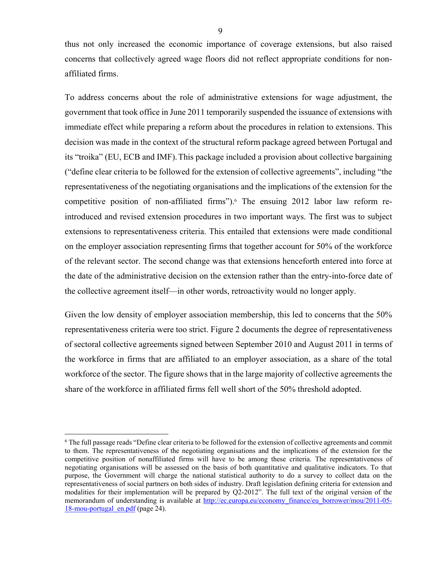thus not only increased the economic importance of coverage extensions, but also raised concerns that collectively agreed wage floors did not reflect appropriate conditions for nonaffiliated firms.

To address concerns about the role of administrative extensions for wage adjustment, the government that took office in June 2011 temporarily suspended the issuance of extensions with immediate effect while preparing a reform about the procedures in relation to extensions. This decision was made in the context of the structural reform package agreed between Portugal and its "troika" (EU, ECB and IMF).This package included a provision about collective bargaining ("define clear criteria to be followed for the extension of collective agreements", including "the representativeness of the negotiating organisations and the implications of the extension for the competitive position of non-affiliated firms").<sup>6</sup> The ensuing 2012 labor law reform reintroduced and revised extension procedures in two important ways. The first was to subject extensions to representativeness criteria. This entailed that extensions were made conditional on the employer association representing firms that together account for 50% of the workforce of the relevant sector. The second change was that extensions henceforth entered into force at the date of the administrative decision on the extension rather than the entry-into-force date of the collective agreement itself—in other words, retroactivity would no longer apply.

Given the low density of employer association membership, this led to concerns that the 50% representativeness criteria were too strict. Figure 2 documents the degree of representativeness of sectoral collective agreements signed between September 2010 and August 2011 in terms of the workforce in firms that are affiliated to an employer association, as a share of the total workforce of the sector. The figure shows that in the large majority of collective agreements the share of the workforce in affiliated firms fell well short of the 50% threshold adopted.

1

<sup>6</sup> The full passage reads "Define clear criteria to be followed for the extension of collective agreements and commit to them. The representativeness of the negotiating organisations and the implications of the extension for the competitive position of nonaffiliated firms will have to be among these criteria. The representativeness of negotiating organisations will be assessed on the basis of both quantitative and qualitative indicators. To that purpose, the Government will charge the national statistical authority to do a survey to collect data on the representativeness of social partners on both sides of industry. Draft legislation defining criteria for extension and modalities for their implementation will be prepared by Q2-2012". The full text of the original version of the memorandum of understanding is available at http://ec.europa.eu/economy\_finance/eu\_borrower/mou/2011-05-18-mou-portugal\_en.pdf (page 24).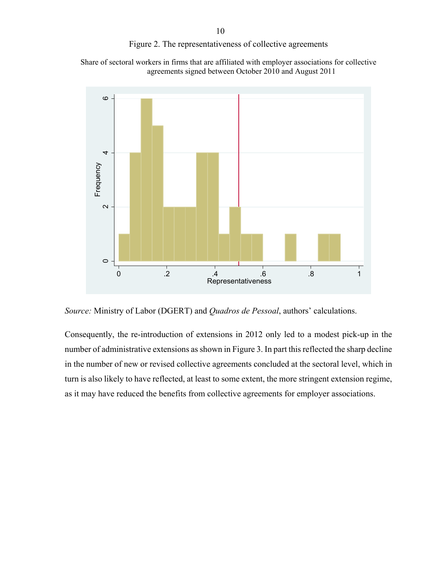#### Figure 2. The representativeness of collective agreements

Share of sectoral workers in firms that are affiliated with employer associations for collective agreements signed between October 2010 and August 2011



*Source:* Ministry of Labor (DGERT) and *Quadros de Pessoal*, authors' calculations.

Consequently, the re-introduction of extensions in 2012 only led to a modest pick-up in the number of administrative extensions as shown in Figure 3. In part this reflected the sharp decline in the number of new or revised collective agreements concluded at the sectoral level, which in turn is also likely to have reflected, at least to some extent, the more stringent extension regime, as it may have reduced the benefits from collective agreements for employer associations.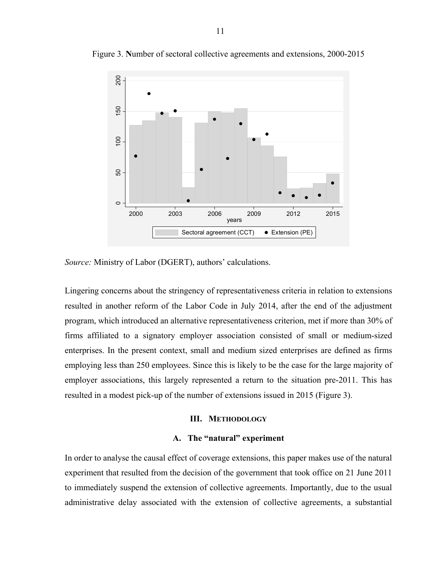

Figure 3. **N**umber of sectoral collective agreements and extensions, 2000-2015

*Source:* Ministry of Labor (DGERT), authors' calculations.

Lingering concerns about the stringency of representativeness criteria in relation to extensions resulted in another reform of the Labor Code in July 2014, after the end of the adjustment program, which introduced an alternative representativeness criterion, met if more than 30% of firms affiliated to a signatory employer association consisted of small or medium-sized enterprises. In the present context, small and medium sized enterprises are defined as firms employing less than 250 employees. Since this is likely to be the case for the large majority of employer associations, this largely represented a return to the situation pre-2011. This has resulted in a modest pick-up of the number of extensions issued in 2015 (Figure 3).

#### **III. METHODOLOGY**

#### **A. The "natural" experiment**

In order to analyse the causal effect of coverage extensions, this paper makes use of the natural experiment that resulted from the decision of the government that took office on 21 June 2011 to immediately suspend the extension of collective agreements. Importantly, due to the usual administrative delay associated with the extension of collective agreements, a substantial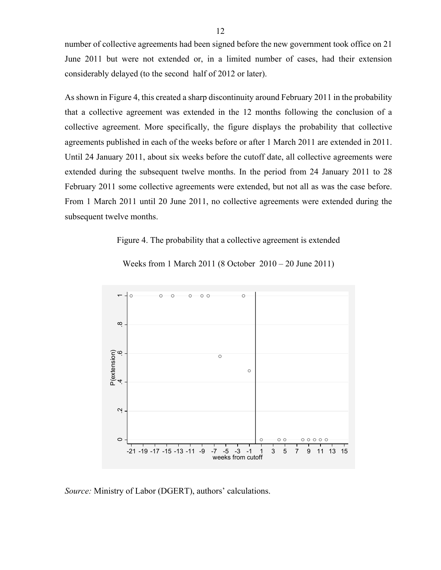number of collective agreements had been signed before the new government took office on 21 June 2011 but were not extended or, in a limited number of cases, had their extension considerably delayed (to the second half of 2012 or later).

As shown in Figure 4, this created a sharp discontinuity around February 2011 in the probability that a collective agreement was extended in the 12 months following the conclusion of a collective agreement. More specifically, the figure displays the probability that collective agreements published in each of the weeks before or after 1 March 2011 are extended in 2011. Until 24 January 2011, about six weeks before the cutoff date, all collective agreements were extended during the subsequent twelve months. In the period from 24 January 2011 to 28 February 2011 some collective agreements were extended, but not all as was the case before. From 1 March 2011 until 20 June 2011, no collective agreements were extended during the subsequent twelve months.

#### Figure 4. The probability that a collective agreement is extended



Weeks from 1 March 2011 (8 October 2010 – 20 June 2011)

*Source:* Ministry of Labor (DGERT), authors' calculations.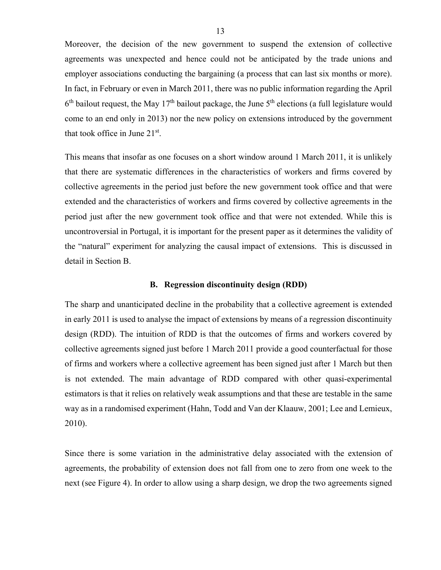Moreover, the decision of the new government to suspend the extension of collective agreements was unexpected and hence could not be anticipated by the trade unions and employer associations conducting the bargaining (a process that can last six months or more). In fact, in February or even in March 2011, there was no public information regarding the April  $6<sup>th</sup>$  bailout request, the May 17<sup>th</sup> bailout package, the June  $5<sup>th</sup>$  elections (a full legislature would come to an end only in 2013) nor the new policy on extensions introduced by the government that took office in June  $21<sup>st</sup>$ .

This means that insofar as one focuses on a short window around 1 March 2011, it is unlikely that there are systematic differences in the characteristics of workers and firms covered by collective agreements in the period just before the new government took office and that were extended and the characteristics of workers and firms covered by collective agreements in the period just after the new government took office and that were not extended. While this is uncontroversial in Portugal, it is important for the present paper as it determines the validity of the "natural" experiment for analyzing the causal impact of extensions. This is discussed in detail in Section B.

#### **B. Regression discontinuity design (RDD)**

The sharp and unanticipated decline in the probability that a collective agreement is extended in early 2011 is used to analyse the impact of extensions by means of a regression discontinuity design (RDD). The intuition of RDD is that the outcomes of firms and workers covered by collective agreements signed just before 1 March 2011 provide a good counterfactual for those of firms and workers where a collective agreement has been signed just after 1 March but then is not extended. The main advantage of RDD compared with other quasi-experimental estimators is that it relies on relatively weak assumptions and that these are testable in the same way as in a randomised experiment (Hahn, Todd and Van der Klaauw, 2001; Lee and Lemieux, 2010).

Since there is some variation in the administrative delay associated with the extension of agreements, the probability of extension does not fall from one to zero from one week to the next (see Figure 4). In order to allow using a sharp design, we drop the two agreements signed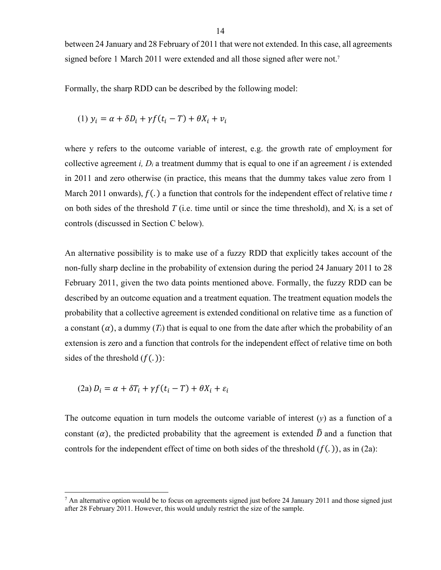between 24 January and 28 February of 2011 that were not extended. In this case, all agreements signed before 1 March 2011 were extended and all those signed after were not.<sup>7</sup>

Formally, the sharp RDD can be described by the following model:

(1) 
$$
y_i = \alpha + \delta D_i + \gamma f(t_i - T) + \theta X_i + v_i
$$

where y refers to the outcome variable of interest, e.g. the growth rate of employment for collective agreement *i,*  $D_i$  a treatment dummy that is equal to one if an agreement *i* is extended in 2011 and zero otherwise (in practice, this means that the dummy takes value zero from 1 March 2011 onwards),  $f(.)$  a function that controls for the independent effect of relative time  $t$ on both sides of the threshold  $T$  (i.e. time until or since the time threshold), and  $X_i$  is a set of controls (discussed in Section C below).

An alternative possibility is to make use of a fuzzy RDD that explicitly takes account of the non-fully sharp decline in the probability of extension during the period 24 January 2011 to 28 February 2011, given the two data points mentioned above. Formally, the fuzzy RDD can be described by an outcome equation and a treatment equation. The treatment equation models the probability that a collective agreement is extended conditional on relative time as a function of a constant  $(\alpha)$ , a dummy  $(T_i)$  that is equal to one from the date after which the probability of an extension is zero and a function that controls for the independent effect of relative time on both sides of the threshold  $(f(.))$ :

$$
(2a) D_i = \alpha + \delta T_i + \gamma f(t_i - T) + \theta X_i + \varepsilon_i
$$

 $\overline{a}$ 

The outcome equation in turn models the outcome variable of interest (*y*) as a function of a constant ( $\alpha$ ), the predicted probability that the agreement is extended  $\hat{D}$  and a function that controls for the independent effect of time on both sides of the threshold  $(f(.))$ , as in (2a):

<sup>&</sup>lt;sup>7</sup> An alternative option would be to focus on agreements signed just before 24 January 2011 and those signed just after 28 February 2011. However, this would unduly restrict the size of the sample.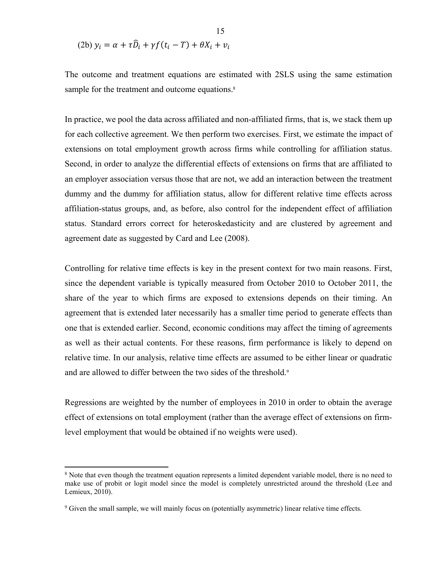(2b) 
$$
y_i = \alpha + \tau \widehat{D}_i + \gamma f(t_i - T) + \theta X_i + v_i
$$

The outcome and treatment equations are estimated with 2SLS using the same estimation sample for the treatment and outcome equations.<sup>8</sup>

In practice, we pool the data across affiliated and non-affiliated firms, that is, we stack them up for each collective agreement. We then perform two exercises. First, we estimate the impact of extensions on total employment growth across firms while controlling for affiliation status. Second, in order to analyze the differential effects of extensions on firms that are affiliated to an employer association versus those that are not, we add an interaction between the treatment dummy and the dummy for affiliation status, allow for different relative time effects across affiliation-status groups, and, as before, also control for the independent effect of affiliation status. Standard errors correct for heteroskedasticity and are clustered by agreement and agreement date as suggested by Card and Lee (2008).

Controlling for relative time effects is key in the present context for two main reasons. First, since the dependent variable is typically measured from October 2010 to October 2011, the share of the year to which firms are exposed to extensions depends on their timing. An agreement that is extended later necessarily has a smaller time period to generate effects than one that is extended earlier. Second, economic conditions may affect the timing of agreements as well as their actual contents. For these reasons, firm performance is likely to depend on relative time. In our analysis, relative time effects are assumed to be either linear or quadratic and are allowed to differ between the two sides of the threshold.<sup>9</sup>

Regressions are weighted by the number of employees in 2010 in order to obtain the average effect of extensions on total employment (rather than the average effect of extensions on firmlevel employment that would be obtained if no weights were used).

<sup>&</sup>lt;sup>8</sup> Note that even though the treatment equation represents a limited dependent variable model, there is no need to make use of probit or logit model since the model is completely unrestricted around the threshold (Lee and Lemieux, 2010).

<sup>&</sup>lt;sup>9</sup> Given the small sample, we will mainly focus on (potentially asymmetric) linear relative time effects.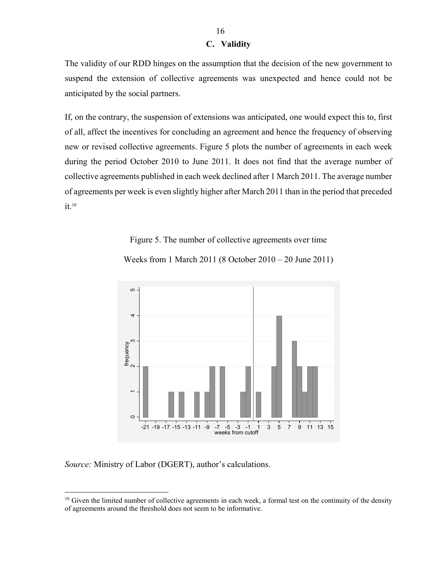#### **C. Validity**

The validity of our RDD hinges on the assumption that the decision of the new government to suspend the extension of collective agreements was unexpected and hence could not be anticipated by the social partners.

If, on the contrary, the suspension of extensions was anticipated, one would expect this to, first of all, affect the incentives for concluding an agreement and hence the frequency of observing new or revised collective agreements. Figure 5 plots the number of agreements in each week during the period October 2010 to June 2011. It does not find that the average number of collective agreements published in each week declined after 1 March 2011. The average number of agreements per week is even slightly higher after March 2011 than in the period that preceded  $it<sup>10</sup>$ 

Figure 5. The number of collective agreements over time



Weeks from 1 March 2011 (8 October 2010 – 20 June 2011)

*Source:* Ministry of Labor (DGERT), author's calculations.

1

 $10$  Given the limited number of collective agreements in each week, a formal test on the continuity of the density of agreements around the threshold does not seem to be informative.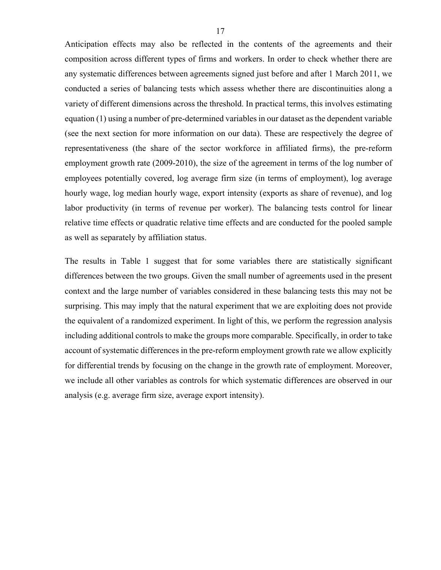Anticipation effects may also be reflected in the contents of the agreements and their composition across different types of firms and workers. In order to check whether there are any systematic differences between agreements signed just before and after 1 March 2011, we conducted a series of balancing tests which assess whether there are discontinuities along a variety of different dimensions across the threshold. In practical terms, this involves estimating equation (1) using a number of pre-determined variables in our dataset as the dependent variable (see the next section for more information on our data). These are respectively the degree of representativeness (the share of the sector workforce in affiliated firms), the pre-reform employment growth rate (2009-2010), the size of the agreement in terms of the log number of employees potentially covered, log average firm size (in terms of employment), log average hourly wage, log median hourly wage, export intensity (exports as share of revenue), and log labor productivity (in terms of revenue per worker). The balancing tests control for linear relative time effects or quadratic relative time effects and are conducted for the pooled sample as well as separately by affiliation status.

The results in Table 1 suggest that for some variables there are statistically significant differences between the two groups. Given the small number of agreements used in the present context and the large number of variables considered in these balancing tests this may not be surprising. This may imply that the natural experiment that we are exploiting does not provide the equivalent of a randomized experiment. In light of this, we perform the regression analysis including additional controls to make the groups more comparable. Specifically, in order to take account of systematic differences in the pre-reform employment growth rate we allow explicitly for differential trends by focusing on the change in the growth rate of employment. Moreover, we include all other variables as controls for which systematic differences are observed in our analysis (e.g. average firm size, average export intensity).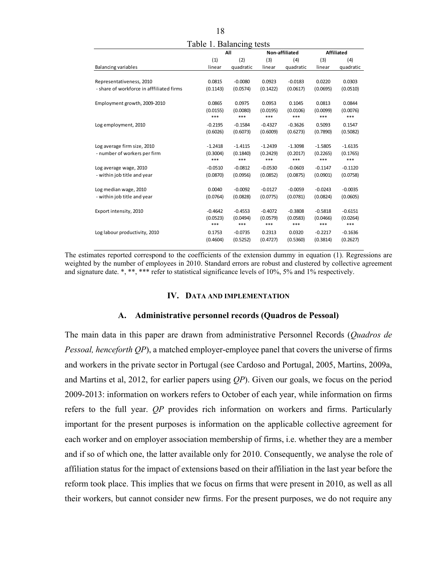| Table 1. Balancing tests                  |                       |           |           |           |                   |           |  |
|-------------------------------------------|-----------------------|-----------|-----------|-----------|-------------------|-----------|--|
|                                           | All<br>Non-affiliated |           |           |           | <b>Affiliated</b> |           |  |
|                                           | (1)                   | (2)       | (3)       | (4)       | (3)               | (4)       |  |
| <b>Balancing variables</b>                | linear                | quadratic | linear    | quadratic | linear            | quadratic |  |
|                                           |                       |           |           |           |                   |           |  |
| Representativeness, 2010                  | 0.0815                | $-0.0080$ | 0.0923    | $-0.0183$ | 0.0220            | 0.0303    |  |
| - share of workforce in afffiliated firms | (0.1143)              | (0.0574)  | (0.1422)  | (0.0617)  | (0.0695)          | (0.0510)  |  |
| Employment growth, 2009-2010              | 0.0865                | 0.0975    | 0.0953    | 0.1045    | 0.0813            | 0.0844    |  |
|                                           | (0.0155)              | (0.0080)  | (0.0195)  | (0.0106)  | (0.0099)          | (0.0076)  |  |
|                                           | ***                   | ***       | $***$     | ***       | ***               | ***       |  |
| Log employment, 2010                      | $-0.2195$             | $-0.1584$ | $-0.4327$ | $-0.3626$ | 0.5093            | 0.1547    |  |
|                                           | (0.6026)              | (0.6073)  | (0.6009)  | (0.6273)  | (0.7890)          | (0.5082)  |  |
|                                           |                       |           |           |           |                   |           |  |
| Log average firm size, 2010               | $-1.2418$             | $-1.4115$ | $-1.2439$ | $-1.3098$ | $-1.5805$         | $-1.6135$ |  |
| - number of workers per firm              | (0.3004)              | (0.1840)  | (0.2429)  | (0.2017)  | (0.2265)          | (0.1765)  |  |
|                                           | ***                   | ***       | ***       | ***       | ***               | ***       |  |
| Log average wage, 2010                    | $-0.0510$             | $-0.0812$ | $-0.0530$ | $-0.0603$ | $-0.1147$         | $-0.1120$ |  |
| - within job title and year               | (0.0870)              | (0.0956)  | (0.0852)  | (0.0875)  | (0.0901)          | (0.0758)  |  |
| Log median wage, 2010                     | 0.0040                | $-0.0092$ | $-0.0127$ | $-0.0059$ | $-0.0243$         | $-0.0035$ |  |
| - within job title and year               | (0.0764)              | (0.0828)  | (0.0775)  | (0.0781)  | (0.0824)          | (0.0605)  |  |
|                                           |                       |           |           |           |                   |           |  |
| Export intensity, 2010                    | $-0.4642$             | $-0.4553$ | $-0.4072$ | $-0.3808$ | $-0.5818$         | $-0.6151$ |  |
|                                           | (0.0523)              | (0.0494)  | (0.0579)  | (0.0583)  | (0.0466)          | (0.0264)  |  |
|                                           | ***                   | ***       | $***$     | ***       | ***               | ***       |  |
| Log labour productivity, 2010             | 0.1753                | $-0.0735$ | 0.2313    | 0.0320    | $-0.2217$         | $-0.1636$ |  |
|                                           | (0.4604)              | (0.5252)  | (0.4727)  | (0.5360)  | (0.3814)          | (0.2627)  |  |
|                                           |                       |           |           |           |                   |           |  |

The estimates reported correspond to the coefficients of the extension dummy in equation (1). Regressions are weighted by the number of employees in 2010. Standard errors are robust and clustered by collective agreement and signature date. \*, \*\*, \*\*\* refer to statistical significance levels of 10%, 5% and 1% respectively.

#### **IV. DATA AND IMPLEMENTATION**

#### **A. Administrative personnel records (Quadros de Pessoal)**

The main data in this paper are drawn from administrative Personnel Records (*Quadros de Pessoal, henceforth QP*), a matched employer-employee panel that covers the universe of firms and workers in the private sector in Portugal (see Cardoso and Portugal, 2005, Martins, 2009a, and Martins et al, 2012, for earlier papers using *QP*). Given our goals, we focus on the period 2009-2013: information on workers refers to October of each year, while information on firms refers to the full year. *QP* provides rich information on workers and firms. Particularly important for the present purposes is information on the applicable collective agreement for each worker and on employer association membership of firms, i.e. whether they are a member and if so of which one, the latter available only for 2010. Consequently, we analyse the role of affiliation status for the impact of extensions based on their affiliation in the last year before the reform took place. This implies that we focus on firms that were present in 2010, as well as all their workers, but cannot consider new firms. For the present purposes, we do not require any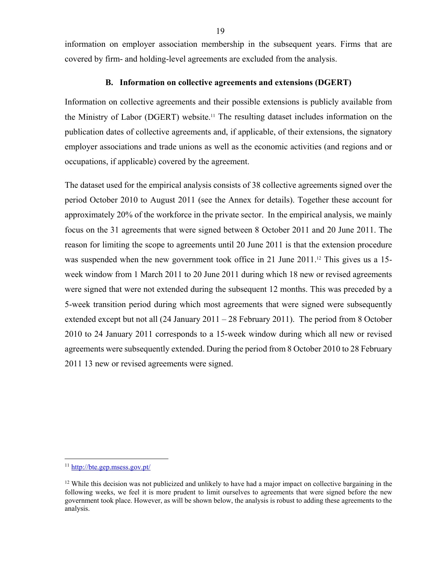information on employer association membership in the subsequent years. Firms that are covered by firm- and holding-level agreements are excluded from the analysis.

#### **B. Information on collective agreements and extensions (DGERT)**

Information on collective agreements and their possible extensions is publicly available from the Ministry of Labor (DGERT) website.11 The resulting dataset includes information on the publication dates of collective agreements and, if applicable, of their extensions, the signatory employer associations and trade unions as well as the economic activities (and regions and or occupations, if applicable) covered by the agreement.

The dataset used for the empirical analysis consists of 38 collective agreements signed over the period October 2010 to August 2011 (see the Annex for details). Together these account for approximately 20% of the workforce in the private sector. In the empirical analysis, we mainly focus on the 31 agreements that were signed between 8 October 2011 and 20 June 2011. The reason for limiting the scope to agreements until 20 June 2011 is that the extension procedure was suspended when the new government took office in 21 June 2011.<sup>12</sup> This gives us a 15week window from 1 March 2011 to 20 June 2011 during which 18 new or revised agreements were signed that were not extended during the subsequent 12 months. This was preceded by a 5-week transition period during which most agreements that were signed were subsequently extended except but not all (24 January 2011 – 28 February 2011). The period from 8 October 2010 to 24 January 2011 corresponds to a 15-week window during which all new or revised agreements were subsequently extended. During the period from 8 October 2010 to 28 February 2011 13 new or revised agreements were signed.

<sup>11</sup> http://bte.gep.msess.gov.pt/

 $12$  While this decision was not publicized and unlikely to have had a major impact on collective bargaining in the following weeks, we feel it is more prudent to limit ourselves to agreements that were signed before the new government took place. However, as will be shown below, the analysis is robust to adding these agreements to the analysis.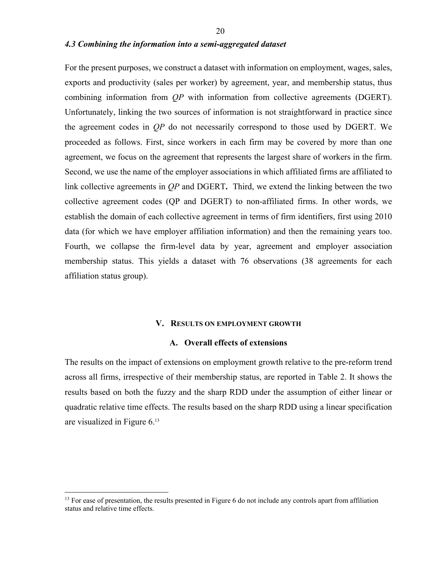#### *4.3 Combining the information into a semi-aggregated dataset*

For the present purposes, we construct a dataset with information on employment, wages, sales, exports and productivity (sales per worker) by agreement, year, and membership status, thus combining information from *QP* with information from collective agreements (DGERT). Unfortunately, linking the two sources of information is not straightforward in practice since the agreement codes in *QP* do not necessarily correspond to those used by DGERT. We proceeded as follows. First, since workers in each firm may be covered by more than one agreement, we focus on the agreement that represents the largest share of workers in the firm. Second, we use the name of the employer associations in which affiliated firms are affiliated to link collective agreements in *QP* and DGERT**.** Third, we extend the linking between the two collective agreement codes (QP and DGERT) to non-affiliated firms. In other words, we establish the domain of each collective agreement in terms of firm identifiers, first using 2010 data (for which we have employer affiliation information) and then the remaining years too. Fourth, we collapse the firm-level data by year, agreement and employer association membership status. This yields a dataset with 76 observations (38 agreements for each affiliation status group).

#### **V. RESULTS ON EMPLOYMENT GROWTH**

#### **A. Overall effects of extensions**

The results on the impact of extensions on employment growth relative to the pre-reform trend across all firms, irrespective of their membership status, are reported in Table 2. It shows the results based on both the fuzzy and the sharp RDD under the assumption of either linear or quadratic relative time effects. The results based on the sharp RDD using a linear specification are visualized in Figure 6.13

<sup>&</sup>lt;sup>13</sup> For ease of presentation, the results presented in Figure 6 do not include any controls apart from affiliation status and relative time effects.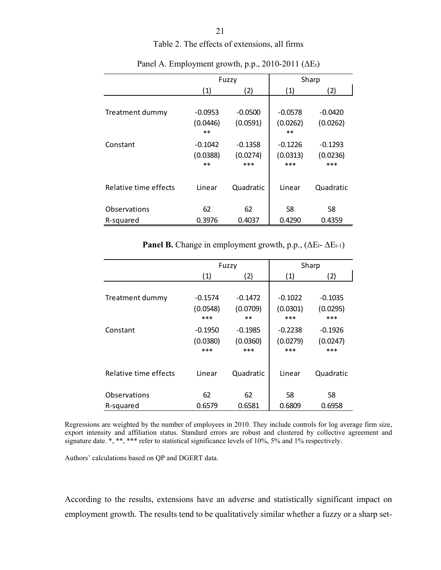Table 2. The effects of extensions, all firms

|                           |                                | Fuzzy                        |                               | Sharp                        |
|---------------------------|--------------------------------|------------------------------|-------------------------------|------------------------------|
|                           | (1)                            | (2)                          | (1)                           | (2)                          |
| Treatment dummy           | $-0.0953$<br>(0.0446)<br>$***$ | $-0.0500$<br>(0.0591)        | $-0.0578$<br>(0.0262)<br>$**$ | $-0.0420$<br>(0.0262)        |
| Constant                  | $-0.1042$<br>(0.0388)<br>$**$  | $-0.1358$<br>(0.0274)<br>*** | $-0.1226$<br>(0.0313)<br>***  | $-0.1293$<br>(0.0236)<br>*** |
| Relative time effects     | Linear                         | Quadratic                    | Linear                        | Quadratic                    |
| Observations<br>R-squared | 62<br>0.3976                   | 62<br>0.4037                 | 58<br>0.4290                  | 58<br>0.4359                 |

Panel A. Employment growth, p.p., 2010-2011 ( $\Delta E_t$ )

**Panel B.** Change in employment growth, p.p.,  $(\Delta E_t - \Delta E_{t-1})$ 

|                       |                                | Fuzzy                          |                              | Sharp                        |
|-----------------------|--------------------------------|--------------------------------|------------------------------|------------------------------|
|                       | (1)                            | (2)                            | (1)                          | (2)                          |
| Treatment dummy       | $-0.1574$<br>(0.0548)<br>$***$ | $-0.1472$<br>(0.0709)<br>$**$  | $-0.1022$<br>(0.0301)<br>*** | $-0.1035$<br>(0.0295)<br>*** |
| Constant              | $-0.1950$<br>(0.0380)<br>$***$ | $-0.1985$<br>(0.0360)<br>$***$ | $-0.2238$<br>(0.0279)<br>*** | $-0.1926$<br>(0.0247)<br>*** |
| Relative time effects | Linear                         | Quadratic                      | Linear                       | Quadratic                    |
| Observations          | 62                             | 62                             | 58                           | 58                           |
| R-squared             | 0.6579                         | 0.6581                         | 0.6809                       | 0.6958                       |

Regressions are weighted by the number of employees in 2010. They include controls for log average firm size, export intensity and affiliation status. Standard errors are robust and clustered by collective agreement and signature date. \*, \*\*, \*\*\* refer to statistical significance levels of 10%, 5% and 1% respectively.

Authors' calculations based on QP and DGERT data.

According to the results, extensions have an adverse and statistically significant impact on employment growth. The results tend to be qualitatively similar whether a fuzzy or a sharp set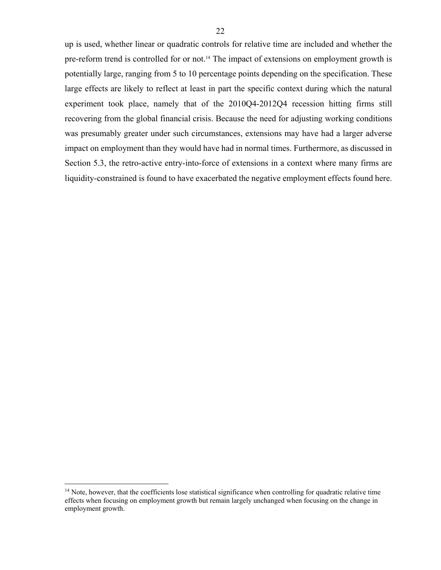up is used, whether linear or quadratic controls for relative time are included and whether the pre-reform trend is controlled for or not.<sup>14</sup> The impact of extensions on employment growth is potentially large, ranging from 5 to 10 percentage points depending on the specification. These large effects are likely to reflect at least in part the specific context during which the natural experiment took place, namely that of the 2010Q4-2012Q4 recession hitting firms still recovering from the global financial crisis. Because the need for adjusting working conditions was presumably greater under such circumstances, extensions may have had a larger adverse impact on employment than they would have had in normal times. Furthermore, as discussed in

Section 5.3, the retro-active entry-into-force of extensions in a context where many firms are liquidity-constrained is found to have exacerbated the negative employment effects found here.

 $14$  Note, however, that the coefficients lose statistical significance when controlling for quadratic relative time effects when focusing on employment growth but remain largely unchanged when focusing on the change in employment growth.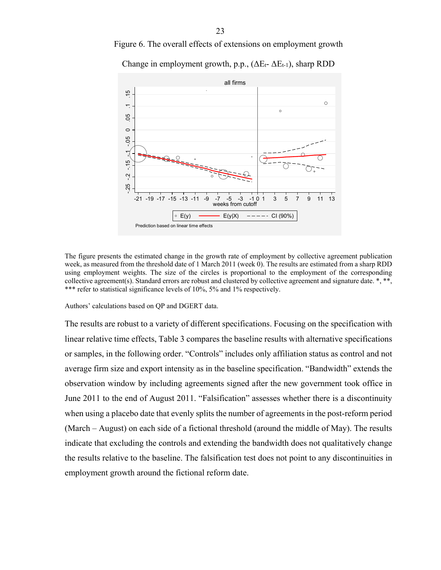

Figure 6. The overall effects of extensions on employment growth

Change in employment growth, p.p.,  $(\Delta E_t - \Delta E_{t-1})$ , sharp RDD

The figure presents the estimated change in the growth rate of employment by collective agreement publication week, as measured from the threshold date of 1 March 2011 (week 0). The results are estimated from a sharp RDD using employment weights. The size of the circles is proportional to the employment of the corresponding

collective agreement(s). Standard errors are robust and clustered by collective agreement and signature date.  $*, **$ , \*\*\* refer to statistical significance levels of 10%, 5% and 1% respectively.

Authors' calculations based on QP and DGERT data.

The results are robust to a variety of different specifications. Focusing on the specification with linear relative time effects, Table 3 compares the baseline results with alternative specifications or samples, in the following order. "Controls" includes only affiliation status as control and not average firm size and export intensity as in the baseline specification. "Bandwidth" extends the observation window by including agreements signed after the new government took office in June 2011 to the end of August 2011. "Falsification" assesses whether there is a discontinuity when using a placebo date that evenly splits the number of agreements in the post-reform period (March – August) on each side of a fictional threshold (around the middle of May). The results indicate that excluding the controls and extending the bandwidth does not qualitatively change the results relative to the baseline. The falsification test does not point to any discontinuities in employment growth around the fictional reform date. erection<br>  $\frac{25}{11}$ <br>  $\frac{25}{11}$ <br>  $\frac{25}{11}$ <br>  $\frac{25}{11}$ <br>  $\frac{25}{11}$ <br>  $\frac{25}{11}$ <br>  $\frac{25}{11}$ <br>  $\frac{25}{11}$ <br>  $\frac{25}{11}$ <br>
Authors' calculations t<br>
The results are robu<br>
linear relative time<br>
or samples, in the f<br>
aver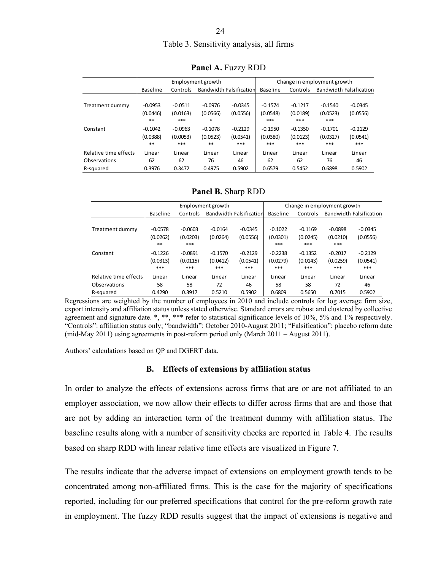# Table 3. Sensitivity analysis, all firms

|                       |           |           | Employment growth |                                |                 | Change in employment growth |           |                                |  |
|-----------------------|-----------|-----------|-------------------|--------------------------------|-----------------|-----------------------------|-----------|--------------------------------|--|
|                       |           |           |                   |                                |                 |                             |           |                                |  |
|                       | Baseline  | Controls  |                   | <b>Bandwidth Falsification</b> | <b>Baseline</b> | Controls                    |           | <b>Bandwidth Falsification</b> |  |
|                       |           |           |                   |                                |                 |                             |           |                                |  |
| Treatment dummy       | $-0.0953$ | $-0.0511$ | $-0.0976$         | $-0.0345$                      | $-0.1574$       | $-0.1217$                   | $-0.1540$ | $-0.0345$                      |  |
|                       | (0.0446)  | (0.0163)  | (0.0566)          | (0.0556)                       | (0.0548)        | (0.0189)                    | (0.0523)  | (0.0556)                       |  |
|                       | **        | ***       | $*$               |                                | ***             | ***                         | ***       |                                |  |
| Constant              | $-0.1042$ | $-0.0963$ | $-0.1078$         | $-0.2129$                      | $-0.1950$       | $-0.1350$                   | $-0.1701$ | $-0.2129$                      |  |
|                       | (0.0388)  | (0.0053)  | (0.0523)          | (0.0541)                       | (0.0380)        | (0.0123)                    | (0.0327)  | (0.0541)                       |  |
|                       | **        | ***       | **                | ***                            | ***             | ***                         | ***       | ***                            |  |
| Relative time effects | Linear    | Linear    | Linear            | Linear                         | Linear          | Linear                      | Linear    | Linear                         |  |
| Observations          | 62        | 62        | 76                | 46                             | 62              | 62                          | 76        | 46                             |  |
| R-squared             | 0.3976    | 0.3472    | 0.4975            | 0.5902                         | 0.6579          | 0.5452                      | 0.6898    | 0.5902                         |  |

**Panel A.** Fuzzy RDD

**Panel B.** Sharp RDD

|                       |           |           | Employment growth |                                |           | Change in employment growth |           |                         |
|-----------------------|-----------|-----------|-------------------|--------------------------------|-----------|-----------------------------|-----------|-------------------------|
|                       | Baseline  | Controls  |                   | <b>Bandwidth Falsification</b> | Baseline  | Controls                    |           | Bandwidth Falsification |
|                       |           |           |                   |                                |           |                             |           |                         |
| Treatment dummy       | $-0.0578$ | $-0.0603$ | $-0.0164$         | $-0.0345$                      | $-0.1022$ | $-0.1169$                   | $-0.0898$ | $-0.0345$               |
|                       | (0.0262)  | (0.0203)  | (0.0264)          | (0.0556)                       | (0.0301)  | (0.0245)                    | (0.0210)  | (0.0556)                |
|                       | **        | ***       |                   |                                | ***       | ***                         | ***       |                         |
| Constant              | $-0.1226$ | $-0.0891$ | $-0.1570$         | $-0.2129$                      | $-0.2238$ | $-0.1352$                   | $-0.2017$ | $-0.2129$               |
|                       | (0.0313)  | (0.0115)  | (0.0412)          | (0.0541)                       | (0.0279)  | (0.0143)                    | (0.0259)  | (0.0541)                |
|                       | ***       | ***       | ***               | ***                            | ***       | ***                         | ***       | ***                     |
| Relative time effects | Linear    | Linear    | Linear            | Linear                         | Linear    | Linear                      | Linear    | Linear                  |
| Observations          | 58        | 58        | 72                | 46                             | 58        | 58                          | 72        | 46                      |
| R-squared             | 0.4290    | 0.3917    | 0.5210            | 0.5902                         | 0.6809    | 0.5650                      | 0.7015    | 0.5902                  |

Regressions are weighted by the number of employees in 2010 and include controls for log average firm size, export intensity and affiliation status unless stated otherwise. Standard errors are robust and clustered by collective agreement and signature date. \*, \*\*, \*\*\* refer to statistical significance levels of 10%, 5% and 1% respectively. "Controls": affiliation status only; "bandwidth": October 2010-August 2011; "Falsification": placebo reform date (mid-May 2011) using agreements in post-reform period only (March 2011 – August 2011).

Authors' calculations based on QP and DGERT data.

#### **B. Effects of extensions by affiliation status**

In order to analyze the effects of extensions across firms that are or are not affiliated to an employer association, we now allow their effects to differ across firms that are and those that are not by adding an interaction term of the treatment dummy with affiliation status. The baseline results along with a number of sensitivity checks are reported in Table 4. The results based on sharp RDD with linear relative time effects are visualized in Figure 7.

The results indicate that the adverse impact of extensions on employment growth tends to be concentrated among non-affiliated firms. This is the case for the majority of specifications reported, including for our preferred specifications that control for the pre-reform growth rate in employment. The fuzzy RDD results suggest that the impact of extensions is negative and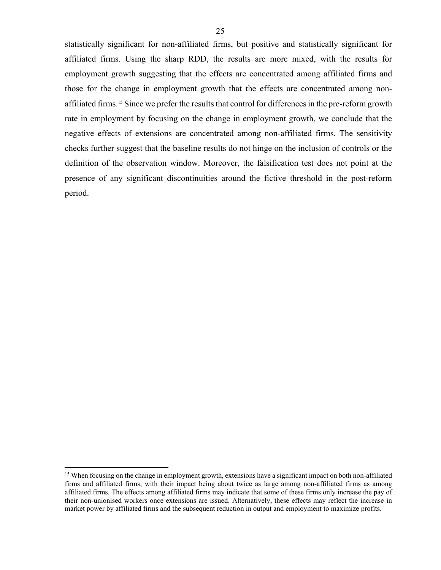statistically significant for non-affiliated firms, but positive and statistically significant for affiliated firms. Using the sharp RDD, the results are more mixed, with the results for employment growth suggesting that the effects are concentrated among affiliated firms and those for the change in employment growth that the effects are concentrated among nonaffiliated firms.15 Since we prefer the results that control for differences in the pre-reform growth rate in employment by focusing on the change in employment growth, we conclude that the negative effects of extensions are concentrated among non-affiliated firms. The sensitivity checks further suggest that the baseline results do not hinge on the inclusion of controls or the definition of the observation window. Moreover, the falsification test does not point at the presence of any significant discontinuities around the fictive threshold in the post-reform period.

<sup>&</sup>lt;sup>15</sup> When focusing on the change in employment growth, extensions have a significant impact on both non-affiliated firms and affiliated firms, with their impact being about twice as large among non-affiliated firms as among affiliated firms. The effects among affiliated firms may indicate that some of these firms only increase the pay of their non-unionised workers once extensions are issued. Alternatively, these effects may reflect the increase in market power by affiliated firms and the subsequent reduction in output and employment to maximize profits.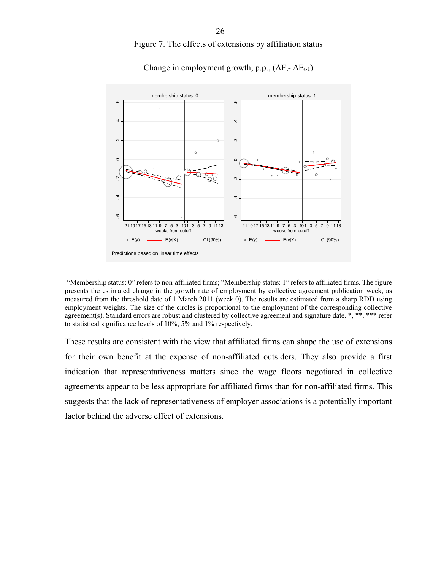Figure 7. The effects of extensions by affiliation status



Change in employment growth, p.p.,  $(\Delta E_t - \Delta E_{t-1})$ 

"Membership status: 0" refers to non-affiliated firms; "Membership status: 1" refers to affiliated firms. The figure presents the estimated change in the growth rate of employment by collective agreement publication week, as measured from the threshold date of 1 March 2011 (week 0). The results are estimated from a sharp RDD using employment weights. The size of the circles is proportional to the employment of the corresponding collective agreement(s). Standard errors are robust and clustered by collective agreement and signature date. \*, \*\*, \*\*\* refer to statistical significance levels of 10%, 5% and 1% respectively.

These results are consistent with the view that affiliated firms can shape the use of extensions for their own benefit at the expense of non-affiliated outsiders. They also provide a first indication that representativeness matters since the wage floors negotiated in collective agreements appear to be less appropriate for affiliated firms than for non-affiliated firms. This suggests that the lack of representativeness of employer associations is a potentially important factor behind the adverse effect of extensions. es a reader to the set of the set of the set of the set of the set of the set of the set of the set of the set of the set of the set of the set of the set of the set of the set of the set of the set of the set of the set o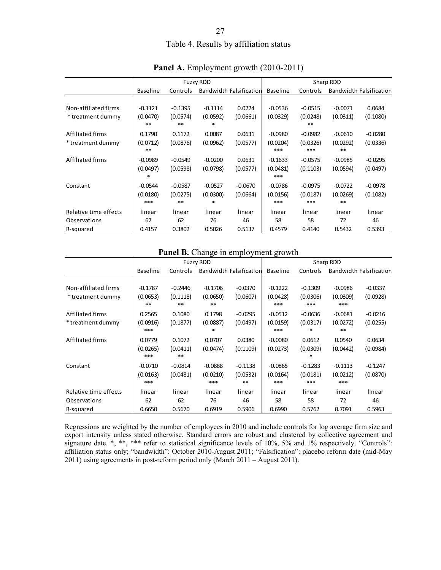# Table 4. Results by affiliation status

|                       |                 |           | <b>Fuzzy RDD</b> |                         | Sharp RDD       |           |           |                         |
|-----------------------|-----------------|-----------|------------------|-------------------------|-----------------|-----------|-----------|-------------------------|
|                       | <b>Baseline</b> | Controls  |                  | Bandwidth Falsification | <b>Baseline</b> | Controls  |           | Bandwidth Falsification |
|                       |                 |           |                  |                         |                 |           |           |                         |
| Non-affiliated firms  | $-0.1121$       | $-0.1395$ | $-0.1114$        | 0.0224                  | $-0.0536$       | $-0.0515$ | $-0.0071$ | 0.0684                  |
| * treatment dummy     | (0.0470)        | (0.0574)  | (0.0592)         | (0.0661)                | (0.0329)        | (0.0248)  | (0.0311)  | (0.1080)                |
|                       | $**$            | **        | *                |                         |                 | $***$     |           |                         |
| Affiliated firms      | 0.1790          | 0.1172    | 0.0087           | 0.0631                  | $-0.0980$       | $-0.0982$ | $-0.0610$ | $-0.0280$               |
| * treatment dummy     | (0.0712)        | (0.0876)  | (0.0962)         | (0.0577)                | (0.0204)        | (0.0326)  | (0.0292)  | (0.0336)                |
|                       | $***$           |           |                  |                         | ***             | ***       | $***$     |                         |
| Affiliated firms      | $-0.0989$       | $-0.0549$ | $-0.0200$        | 0.0631                  | $-0.1633$       | $-0.0575$ | $-0.0985$ | $-0.0295$               |
|                       | (0.0497)        | (0.0598)  | (0.0798)         | (0.0577)                | (0.0481)        | (0.1103)  | (0.0594)  | (0.0497)                |
|                       | *               |           |                  |                         | ***             |           |           |                         |
| Constant              | $-0.0544$       | $-0.0587$ | $-0.0527$        | $-0.0670$               | $-0.0786$       | $-0.0975$ | $-0.0722$ | $-0.0978$               |
|                       | (0.0180)        | (0.0275)  | (0.0300)         | (0.0664)                | (0.0156)        | (0.0187)  | (0.0269)  | (0.1082)                |
|                       | ***             | **        | *                |                         | ***             | ***       | **        |                         |
| Relative time effects | linear          | linear    | linear           | linear                  | linear          | linear    | linear    | linear                  |
| Observations          | 62              | 62        | 76               | 46                      | 58              | 58        | 72        | 46                      |
| R-squared             | 0.4157          | 0.3802    | 0.5026           | 0.5137                  | 0.4579          | 0.4140    | 0.5432    | 0.5393                  |

# Panel A. Employment growth (2010-2011)

#### **Panel B.** Change in employment growth

|                       |                 |           | <b>Fuzzy RDD</b> |                                | Sharp RDD       |           |           |                         |
|-----------------------|-----------------|-----------|------------------|--------------------------------|-----------------|-----------|-----------|-------------------------|
|                       | <b>Baseline</b> | Controls  |                  | <b>Bandwidth Falsification</b> | <b>Baseline</b> | Controls  |           | Bandwidth Falsification |
|                       |                 |           |                  |                                |                 |           |           |                         |
| Non-affiliated firms  | $-0.1787$       | $-0.2446$ | $-0.1706$        | $-0.0370$                      | $-0.1222$       | $-0.1309$ | $-0.0986$ | $-0.0337$               |
| * treatment dummy     | (0.0653)        | (0.1118)  | (0.0650)         | (0.0607)                       | (0.0428)        | (0.0306)  | (0.0309)  | (0.0928)                |
|                       | $***$           | **        | $**$             |                                | ***             | ***       | ***       |                         |
| Affiliated firms      | 0.2565          | 0.1080    | 0.1798           | $-0.0295$                      | $-0.0512$       | $-0.0636$ | $-0.0681$ | $-0.0216$               |
| * treatment dummy     | (0.0916)        | (0.1877)  | (0.0887)         | (0.0497)                       | (0.0159)        | (0.0317)  | (0.0272)  | (0.0255)                |
|                       | ***             |           |                  |                                | ***             | *         | $***$     |                         |
| Affiliated firms      | 0.0779          | 0.1072    | 0.0707           | 0.0380                         | $-0.0080$       | 0.0612    | 0.0540    | 0.0634                  |
|                       | (0.0265)        | (0.0411)  | (0.0474)         | (0.1109)                       | (0.0273)        | (0.0309)  | (0.0442)  | (0.0984)                |
|                       | ***             | **        |                  |                                |                 | *         |           |                         |
| Constant              | $-0.0710$       | $-0.0814$ | $-0.0888$        | $-0.1138$                      | $-0.0865$       | $-0.1283$ | $-0.1113$ | $-0.1247$               |
|                       | (0.0163)        | (0.0481)  | (0.0210)         | (0.0532)                       | (0.0164)        | (0.0181)  | (0.0212)  | (0.0870)                |
|                       | ***             |           | ***              | **                             | ***             | ***       | ***       |                         |
| Relative time effects | linear          | linear    | linear           | linear                         | linear          | linear    | linear    | linear                  |
| Observations          | 62              | 62        | 76               | 46                             | 58              | 58        | 72        | 46                      |
| R-squared             | 0.6650          | 0.5670    | 0.6919           | 0.5906                         | 0.6990          | 0.5762    | 0.7091    | 0.5963                  |

Regressions are weighted by the number of employees in 2010 and include controls for log average firm size and export intensity unless stated otherwise. Standard errors are robust and clustered by collective agreement and signature date. \*, \*\*, \*\*\* refer to statistical significance levels of 10%, 5% and 1% respectively. "Controls": affiliation status only; "bandwidth": October 2010-August 2011; "Falsification": placebo reform date (mid-May 2011) using agreements in post-reform period only (March 2011 – August 2011).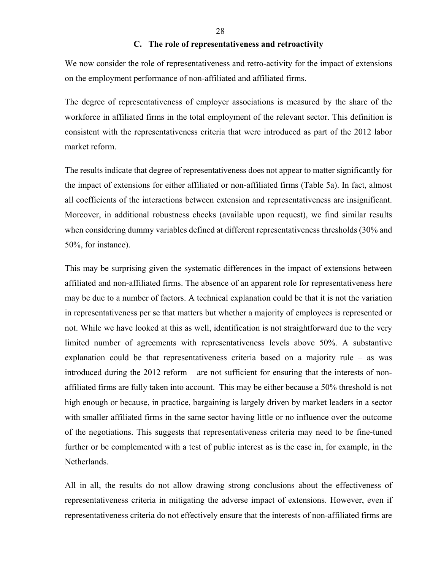#### **C. The role of representativeness and retroactivity**

We now consider the role of representativeness and retro-activity for the impact of extensions on the employment performance of non-affiliated and affiliated firms.

The degree of representativeness of employer associations is measured by the share of the workforce in affiliated firms in the total employment of the relevant sector. This definition is consistent with the representativeness criteria that were introduced as part of the 2012 labor market reform.

The results indicate that degree of representativeness does not appear to matter significantly for the impact of extensions for either affiliated or non-affiliated firms (Table 5a). In fact, almost all coefficients of the interactions between extension and representativeness are insignificant. Moreover, in additional robustness checks (available upon request), we find similar results when considering dummy variables defined at different representativeness thresholds (30% and 50%, for instance).

This may be surprising given the systematic differences in the impact of extensions between affiliated and non-affiliated firms. The absence of an apparent role for representativeness here may be due to a number of factors. A technical explanation could be that it is not the variation in representativeness per se that matters but whether a majority of employees is represented or not. While we have looked at this as well, identification is not straightforward due to the very limited number of agreements with representativeness levels above 50%. A substantive explanation could be that representativeness criteria based on a majority rule – as was introduced during the 2012 reform – are not sufficient for ensuring that the interests of nonaffiliated firms are fully taken into account. This may be either because a 50% threshold is not high enough or because, in practice, bargaining is largely driven by market leaders in a sector with smaller affiliated firms in the same sector having little or no influence over the outcome of the negotiations. This suggests that representativeness criteria may need to be fine-tuned further or be complemented with a test of public interest as is the case in, for example, in the Netherlands.

All in all, the results do not allow drawing strong conclusions about the effectiveness of representativeness criteria in mitigating the adverse impact of extensions. However, even if representativeness criteria do not effectively ensure that the interests of non-affiliated firms are

28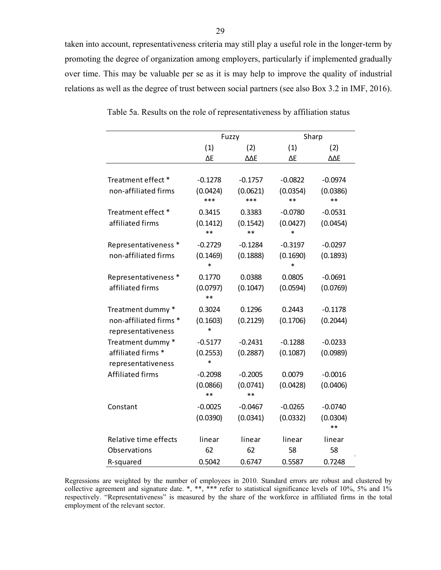taken into account, representativeness criteria may still play a useful role in the longer-term by promoting the degree of organization among employers, particularly if implemented gradually over time. This may be valuable per se as it is may help to improve the quality of industrial relations as well as the degree of trust between social partners (see also Box 3.2 in IMF, 2016).

|                         |           | Fuzzy     | Sharp     |            |  |  |
|-------------------------|-----------|-----------|-----------|------------|--|--|
|                         | (1)       | (2)       | (1)       | (2)        |  |  |
|                         | ΛF        | ΛΛF       | ΛF        | <b>AAF</b> |  |  |
|                         |           |           |           |            |  |  |
| Treatment effect *      | $-0.1278$ | $-0.1757$ | $-0.0822$ | $-0.0974$  |  |  |
| non-affiliated firms    | (0.0424)  | (0.0621)  | (0.0354)  | (0.0386)   |  |  |
|                         | ***       | ***       | **        | $**$       |  |  |
| Treatment effect *      | 0.3415    | 0.3383    | $-0.0780$ | $-0.0531$  |  |  |
| affiliated firms        | (0.1412)  | (0.1542)  | (0.0427)  | (0.0454)   |  |  |
|                         | $**$      | $**$      | *         |            |  |  |
| Representativeness *    | $-0.2729$ | $-0.1284$ | $-0.3197$ | $-0.0297$  |  |  |
| non-affiliated firms    | (0.1469)  | (0.1888)  | (0.1690)  | (0.1893)   |  |  |
|                         | $\ast$    |           | $\ast$    |            |  |  |
| Representativeness *    | 0.1770    | 0.0388    | 0.0805    | $-0.0691$  |  |  |
| affiliated firms        | (0.0797)  | (0.1047)  | (0.0594)  | (0.0769)   |  |  |
|                         | $***$     |           |           |            |  |  |
| Treatment dummy *       | 0.3024    | 0.1296    | 0.2443    | $-0.1178$  |  |  |
| non-affiliated firms *  | (0.1603)  | (0.2129)  | (0.1706)  | (0.2044)   |  |  |
| representativeness      | $\ast$    |           |           |            |  |  |
| Treatment dummy *       | $-0.5177$ | $-0.2431$ | $-0.1288$ | $-0.0233$  |  |  |
| affiliated firms *      | (0.2553)  | (0.2887)  | (0.1087)  | (0.0989)   |  |  |
| representativeness      | $\ast$    |           |           |            |  |  |
| <b>Affiliated firms</b> | $-0.2098$ | $-0.2005$ | 0.0079    | $-0.0016$  |  |  |
|                         | (0.0866)  | (0.0741)  | (0.0428)  | (0.0406)   |  |  |
|                         | **        | $***$     |           |            |  |  |
| Constant                | $-0.0025$ | $-0.0467$ | $-0.0265$ | $-0.0740$  |  |  |
|                         | (0.0390)  | (0.0341)  | (0.0332)  | (0.0304)   |  |  |
|                         |           |           |           | **         |  |  |
| Relative time effects   | linear    | linear    | linear    | linear     |  |  |
| Observations            | 62        | 62        | 58        | 58         |  |  |
| R-squared               | 0.5042    | 0.6747    | 0.5587    | 0.7248     |  |  |

Table 5a. Results on the role of representativeness by affiliation status

Regressions are weighted by the number of employees in 2010. Standard errors are robust and clustered by collective agreement and signature date. \*, \*\*, \*\*\* refer to statistical significance levels of 10%, 5% and 1% respectively. "Representativeness" is measured by the share of the workforce in affiliated firms in the total employment of the relevant sector.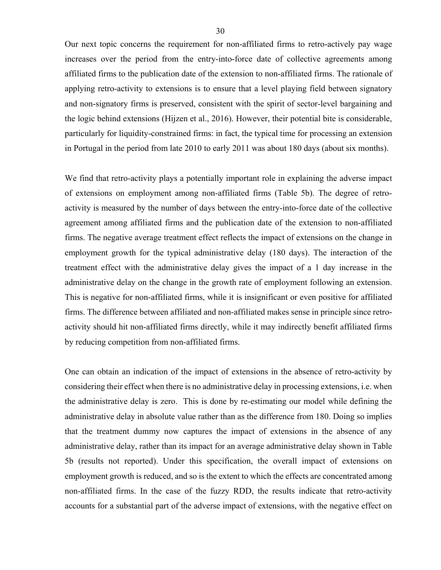Our next topic concerns the requirement for non-affiliated firms to retro-actively pay wage increases over the period from the entry-into-force date of collective agreements among affiliated firms to the publication date of the extension to non-affiliated firms. The rationale of applying retro-activity to extensions is to ensure that a level playing field between signatory and non-signatory firms is preserved, consistent with the spirit of sector-level bargaining and the logic behind extensions (Hijzen et al., 2016). However, their potential bite is considerable, particularly for liquidity-constrained firms: in fact, the typical time for processing an extension in Portugal in the period from late 2010 to early 2011 was about 180 days (about six months).

We find that retro-activity plays a potentially important role in explaining the adverse impact of extensions on employment among non-affiliated firms (Table 5b). The degree of retroactivity is measured by the number of days between the entry-into-force date of the collective agreement among affiliated firms and the publication date of the extension to non-affiliated firms. The negative average treatment effect reflects the impact of extensions on the change in employment growth for the typical administrative delay (180 days). The interaction of the treatment effect with the administrative delay gives the impact of a 1 day increase in the administrative delay on the change in the growth rate of employment following an extension. This is negative for non-affiliated firms, while it is insignificant or even positive for affiliated firms. The difference between affiliated and non-affiliated makes sense in principle since retroactivity should hit non-affiliated firms directly, while it may indirectly benefit affiliated firms by reducing competition from non-affiliated firms.

One can obtain an indication of the impact of extensions in the absence of retro-activity by considering their effect when there is no administrative delay in processing extensions, i.e. when the administrative delay is zero. This is done by re-estimating our model while defining the administrative delay in absolute value rather than as the difference from 180. Doing so implies that the treatment dummy now captures the impact of extensions in the absence of any administrative delay, rather than its impact for an average administrative delay shown in Table 5b (results not reported). Under this specification, the overall impact of extensions on employment growth is reduced, and so is the extent to which the effects are concentrated among non-affiliated firms. In the case of the fuzzy RDD, the results indicate that retro-activity accounts for a substantial part of the adverse impact of extensions, with the negative effect on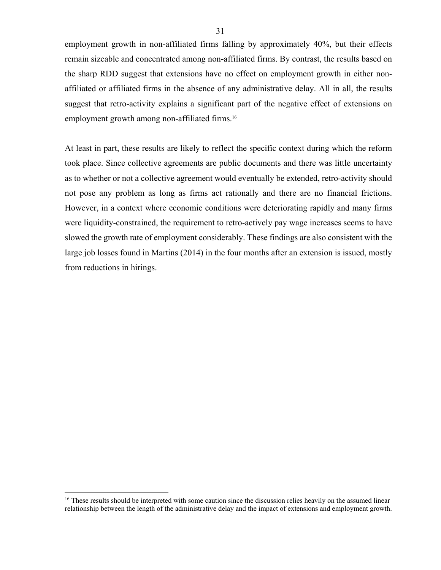employment growth in non-affiliated firms falling by approximately 40%, but their effects remain sizeable and concentrated among non-affiliated firms. By contrast, the results based on the sharp RDD suggest that extensions have no effect on employment growth in either nonaffiliated or affiliated firms in the absence of any administrative delay. All in all, the results suggest that retro-activity explains a significant part of the negative effect of extensions on employment growth among non-affiliated firms.16

At least in part, these results are likely to reflect the specific context during which the reform took place. Since collective agreements are public documents and there was little uncertainty as to whether or not a collective agreement would eventually be extended, retro-activity should not pose any problem as long as firms act rationally and there are no financial frictions. However, in a context where economic conditions were deteriorating rapidly and many firms were liquidity-constrained, the requirement to retro-actively pay wage increases seems to have slowed the growth rate of employment considerably. These findings are also consistent with the large job losses found in Martins (2014) in the four months after an extension is issued, mostly from reductions in hirings.

<sup>&</sup>lt;sup>16</sup> These results should be interpreted with some caution since the discussion relies heavily on the assumed linear relationship between the length of the administrative delay and the impact of extensions and employment growth.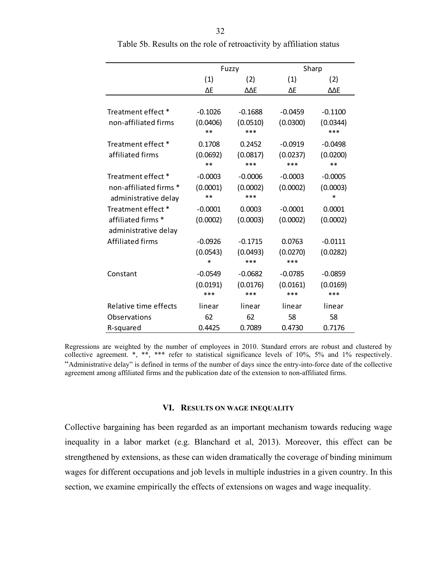|                         |                   | Fuzzy           | Sharp     |                 |  |  |
|-------------------------|-------------------|-----------------|-----------|-----------------|--|--|
|                         | (1)               | (2)             | (1)       | (2)             |  |  |
|                         | ΔE                | ΔΔΕ             | ΔE        | ΔΔΕ             |  |  |
|                         |                   |                 |           |                 |  |  |
| Treatment effect *      | $-0.1026$         | $-0.1688$       | $-0.0459$ | $-0.1100$       |  |  |
| non-affiliated firms    | (0.0406)<br>$***$ | (0.0510)<br>*** | (0.0300)  | (0.0344)<br>*** |  |  |
| Treatment effect *      | 0.1708            | 0.2452          | $-0.0919$ | $-0.0498$       |  |  |
| affiliated firms        | (0.0692)          | (0.0817)        | (0.0237)  | (0.0200)        |  |  |
|                         | **                | ***             | ***       | $***$           |  |  |
| Treatment effect *      | $-0.0003$         | $-0.0006$       | $-0.0003$ | $-0.0005$       |  |  |
| non-affiliated firms *  | (0.0001)          | (0.0002)        | (0.0002)  | (0.0003)        |  |  |
| administrative delay    | **                | ***             |           | *               |  |  |
| Treatment effect *      | $-0.0001$         | 0.0003          | $-0.0001$ | 0.0001          |  |  |
| affiliated firms *      | (0.0002)          | (0.0003)        | (0.0002)  | (0.0002)        |  |  |
| administrative delay    |                   |                 |           |                 |  |  |
| <b>Affiliated firms</b> | $-0.0926$         | $-0.1715$       | 0.0763    | $-0.0111$       |  |  |
|                         | (0.0543)          | (0.0493)        | (0.0270)  | (0.0282)        |  |  |
|                         | $\ast$            | ***             | ***       |                 |  |  |
| Constant                | $-0.0549$         | $-0.0682$       | $-0.0785$ | $-0.0859$       |  |  |
|                         | (0.0191)          | (0.0176)        | (0.0161)  | (0.0169)        |  |  |
|                         | ***               | ***             | ***       | ***             |  |  |
| Relative time effects   | linear            | linear          | linear    | linear          |  |  |
| Observations            | 62                | 62              | 58        | 58              |  |  |
| R-squared               | 0.4425            | 0.7089          | 0.4730    | 0.7176          |  |  |

Table 5b. Results on the role of retroactivity by affiliation status

Regressions are weighted by the number of employees in 2010. Standard errors are robust and clustered by collective agreement. \*, \*\*, \*\*\* refer to statistical significance levels of 10%, 5% and 1% respectively. "Administrative delay" is defined in terms of the number of days since the entry-into-force date of the collective agreement among affiliated firms and the publication date of the extension to non-affiliated firms.

#### **VI. RESULTS ON WAGE INEQUALITY**

Collective bargaining has been regarded as an important mechanism towards reducing wage inequality in a labor market (e.g. Blanchard et al, 2013). Moreover, this effect can be strengthened by extensions, as these can widen dramatically the coverage of binding minimum wages for different occupations and job levels in multiple industries in a given country. In this section, we examine empirically the effects of extensions on wages and wage inequality.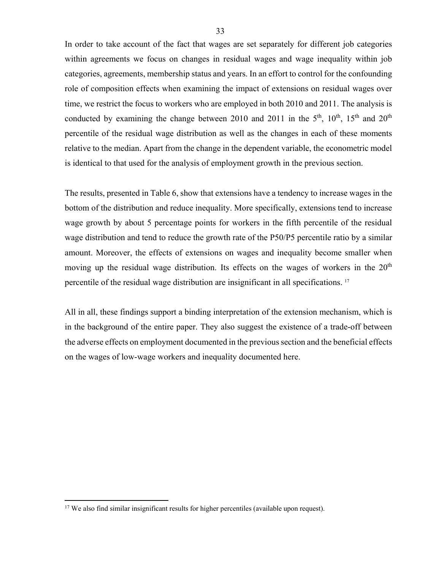In order to take account of the fact that wages are set separately for different job categories within agreements we focus on changes in residual wages and wage inequality within job categories, agreements, membership status and years. In an effort to control for the confounding role of composition effects when examining the impact of extensions on residual wages over time, we restrict the focus to workers who are employed in both 2010 and 2011. The analysis is conducted by examining the change between 2010 and 2011 in the  $5<sup>th</sup>$ ,  $10<sup>th</sup>$ ,  $15<sup>th</sup>$  and  $20<sup>th</sup>$ percentile of the residual wage distribution as well as the changes in each of these moments relative to the median. Apart from the change in the dependent variable, the econometric model is identical to that used for the analysis of employment growth in the previous section.

The results, presented in Table 6, show that extensions have a tendency to increase wages in the bottom of the distribution and reduce inequality. More specifically, extensions tend to increase wage growth by about 5 percentage points for workers in the fifth percentile of the residual wage distribution and tend to reduce the growth rate of the P50/P5 percentile ratio by a similar amount. Moreover, the effects of extensions on wages and inequality become smaller when moving up the residual wage distribution. Its effects on the wages of workers in the  $20<sup>th</sup>$ percentile of the residual wage distribution are insignificant in all specifications. 17

All in all, these findings support a binding interpretation of the extension mechanism, which is in the background of the entire paper. They also suggest the existence of a trade-off between the adverse effects on employment documented in the previous section and the beneficial effects on the wages of low-wage workers and inequality documented here.

<u>.</u>

<sup>&</sup>lt;sup>17</sup> We also find similar insignificant results for higher percentiles (available upon request).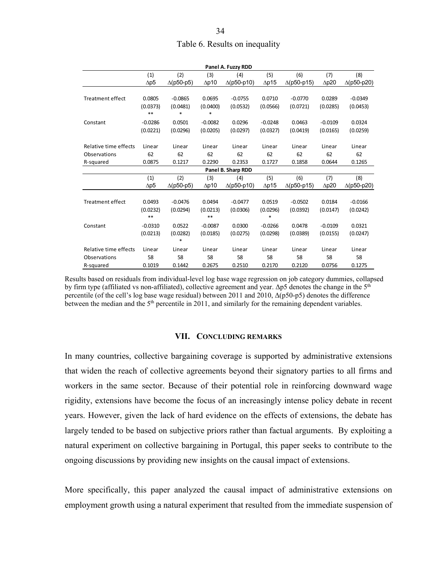| Table 6. Results on inequality |
|--------------------------------|

|                         | Panel A. Fuzzy RDD |                   |              |                    |              |                    |              |                    |  |
|-------------------------|--------------------|-------------------|--------------|--------------------|--------------|--------------------|--------------|--------------------|--|
|                         | (1)                | (2)               | (3)          | (4)                | (5)          | (6)                | (7)          | (8)                |  |
|                         | $\Delta p5$        | $\Delta$ (p50-p5) | $\Delta p10$ | $\Delta$ (p50-p10) | $\Delta p15$ | $\Delta$ (p50-p15) | $\Delta p20$ | $\Delta$ (p50-p20) |  |
|                         |                    |                   |              |                    |              |                    |              |                    |  |
| <b>Treatment effect</b> | 0.0805             | $-0.0865$         | 0.0695       | $-0.0755$          | 0.0710       | $-0.0770$          | 0.0289       | $-0.0349$          |  |
|                         | (0.0373)           | (0.0481)          | (0.0400)     | (0.0532)           | (0.0566)     | (0.0721)           | (0.0285)     | (0.0453)           |  |
|                         | $***$              | *                 | *            |                    |              |                    |              |                    |  |
| Constant                | $-0.0286$          | 0.0501            | $-0.0082$    | 0.0296             | $-0.0248$    | 0.0463             | $-0.0109$    | 0.0324             |  |
|                         | (0.0221)           | (0.0296)          | (0.0205)     | (0.0297)           | (0.0327)     | (0.0419)           | (0.0165)     | (0.0259)           |  |
|                         |                    |                   |              |                    |              |                    |              |                    |  |
| Relative time effects   | Linear             | Linear            | Linear       | Linear             | Linear       | Linear             | Linear       | Linear             |  |
| Observations            | 62                 | 62                | 62           | 62                 | 62           | 62                 | 62           | 62                 |  |
| R-squared               | 0.0875             | 0.1217            | 0.2290       | 0.2353             | 0.1727       | 0.1858             | 0.0644       | 0.1265             |  |
|                         |                    |                   |              | Panel B. Sharp RDD |              |                    |              |                    |  |
|                         | (1)                | (2)               | (3)          | (4)                | (5)          | (6)                | (7)          | (8)                |  |
|                         | $\Delta p5$        | $\Delta$ (p50-p5) | $\Delta p10$ | $\Delta$ (p50-p10) | $\Delta p15$ | $\Delta$ (p50-p15) | $\Delta p20$ | $\Delta$ (p50-p20) |  |
|                         |                    |                   |              |                    |              |                    |              |                    |  |
| <b>Treatment effect</b> | 0.0493             | $-0.0476$         | 0.0494       | $-0.0477$          | 0.0519       | $-0.0502$          | 0.0184       | $-0.0166$          |  |
|                         | (0.0232)           | (0.0294)          | (0.0213)     | (0.0306)           | (0.0296)     | (0.0392)           | (0.0147)     | (0.0242)           |  |
|                         | $***$              |                   | $***$        |                    | $\ast$       |                    |              |                    |  |
| Constant                | $-0.0310$          | 0.0522            | $-0.0087$    | 0.0300             | $-0.0266$    | 0.0478             | $-0.0109$    | 0.0321             |  |
|                         | (0.0213)           | (0.0282)          | (0.0185)     | (0.0275)           | (0.0298)     | (0.0389)           | (0.0155)     | (0.0247)           |  |
|                         |                    | $\ast$            |              |                    |              |                    |              |                    |  |
| Relative time effects   | Linear             | Linear            | Linear       | Linear             | Linear       | Linear             | Linear       | Linear             |  |
| Observations            | 58                 | 58                | 58           | 58                 | 58           | 58                 | 58           | 58                 |  |
| R-squared               | 0.1019             | 0.1442            | 0.2675       | 0.2510             | 0.2170       | 0.2120             | 0.0756       | 0.1275             |  |

Results based on residuals from individual-level log base wage regression on job category dummies, collapsed by firm type (affiliated vs non-affiliated), collective agreement and year.  $\Delta p5$  denotes the change in the  $5<sup>th</sup>$ percentile (of the cell's log base wage residual) between 2011 and 2010, Δ(p50-p5) denotes the difference between the median and the  $5<sup>th</sup>$  percentile in 2011, and similarly for the remaining dependent variables.

#### **VII. CONCLUDING REMARKS**

In many countries, collective bargaining coverage is supported by administrative extensions that widen the reach of collective agreements beyond their signatory parties to all firms and workers in the same sector. Because of their potential role in reinforcing downward wage rigidity, extensions have become the focus of an increasingly intense policy debate in recent years. However, given the lack of hard evidence on the effects of extensions, the debate has largely tended to be based on subjective priors rather than factual arguments. By exploiting a natural experiment on collective bargaining in Portugal, this paper seeks to contribute to the ongoing discussions by providing new insights on the causal impact of extensions.

More specifically, this paper analyzed the causal impact of administrative extensions on employment growth using a natural experiment that resulted from the immediate suspension of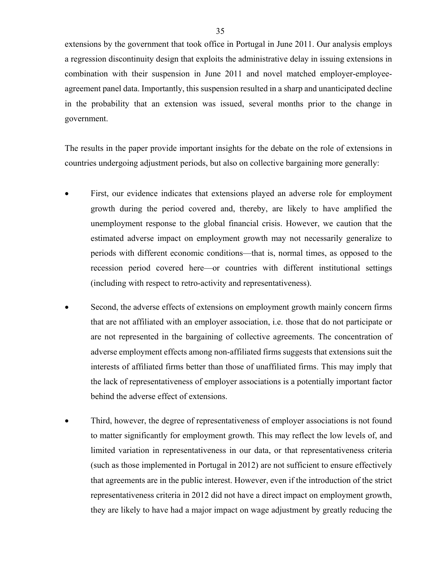extensions by the government that took office in Portugal in June 2011. Our analysis employs a regression discontinuity design that exploits the administrative delay in issuing extensions in combination with their suspension in June 2011 and novel matched employer-employeeagreement panel data. Importantly, this suspension resulted in a sharp and unanticipated decline in the probability that an extension was issued, several months prior to the change in government.

The results in the paper provide important insights for the debate on the role of extensions in countries undergoing adjustment periods, but also on collective bargaining more generally:

- First, our evidence indicates that extensions played an adverse role for employment growth during the period covered and, thereby, are likely to have amplified the unemployment response to the global financial crisis. However, we caution that the estimated adverse impact on employment growth may not necessarily generalize to periods with different economic conditions—that is, normal times, as opposed to the recession period covered here—or countries with different institutional settings (including with respect to retro-activity and representativeness).
- Second, the adverse effects of extensions on employment growth mainly concern firms that are not affiliated with an employer association, i.e. those that do not participate or are not represented in the bargaining of collective agreements. The concentration of adverse employment effects among non-affiliated firms suggests that extensions suit the interests of affiliated firms better than those of unaffiliated firms. This may imply that the lack of representativeness of employer associations is a potentially important factor behind the adverse effect of extensions.
- Third, however, the degree of representativeness of employer associations is not found to matter significantly for employment growth. This may reflect the low levels of, and limited variation in representativeness in our data, or that representativeness criteria (such as those implemented in Portugal in 2012) are not sufficient to ensure effectively that agreements are in the public interest. However, even if the introduction of the strict representativeness criteria in 2012 did not have a direct impact on employment growth, they are likely to have had a major impact on wage adjustment by greatly reducing the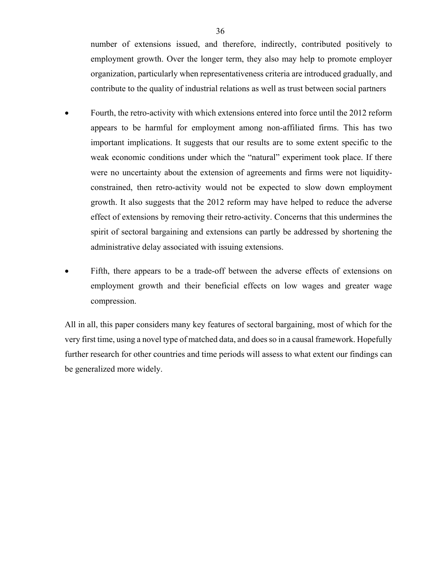number of extensions issued, and therefore, indirectly, contributed positively to employment growth. Over the longer term, they also may help to promote employer organization, particularly when representativeness criteria are introduced gradually, and contribute to the quality of industrial relations as well as trust between social partners

- Fourth, the retro-activity with which extensions entered into force until the 2012 reform appears to be harmful for employment among non-affiliated firms. This has two important implications. It suggests that our results are to some extent specific to the weak economic conditions under which the "natural" experiment took place. If there were no uncertainty about the extension of agreements and firms were not liquidityconstrained, then retro-activity would not be expected to slow down employment growth. It also suggests that the 2012 reform may have helped to reduce the adverse effect of extensions by removing their retro-activity. Concerns that this undermines the spirit of sectoral bargaining and extensions can partly be addressed by shortening the administrative delay associated with issuing extensions.
- Fifth, there appears to be a trade-off between the adverse effects of extensions on employment growth and their beneficial effects on low wages and greater wage compression.

All in all, this paper considers many key features of sectoral bargaining, most of which for the very first time, using a novel type of matched data, and does so in a causal framework. Hopefully further research for other countries and time periods will assess to what extent our findings can be generalized more widely.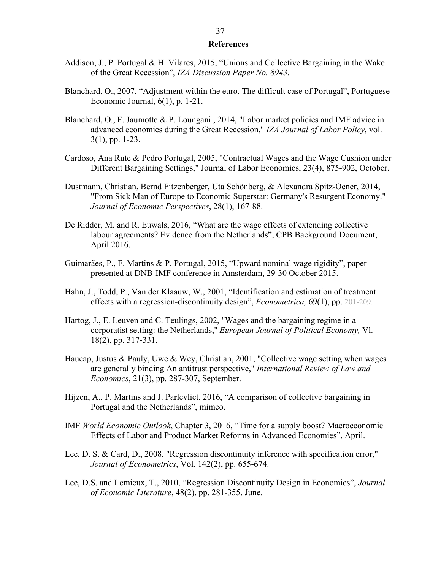#### **References**

- Addison, J., P. Portugal & H. Vilares, 2015, "Unions and Collective Bargaining in the Wake of the Great Recession", *IZA Discussion Paper No. 8943.*
- Blanchard, O., 2007, "Adjustment within the euro. The difficult case of Portugal", Portuguese Economic Journal, 6(1), p. 1-21.
- Blanchard, O., F. Jaumotte & P. Loungani , 2014, "Labor market policies and IMF advice in advanced economies during the Great Recession," *IZA Journal of Labor Policy*, vol. 3(1), pp. 1-23.
- Cardoso, Ana Rute & Pedro Portugal, 2005, "Contractual Wages and the Wage Cushion under Different Bargaining Settings," Journal of Labor Economics, 23(4), 875-902, October.
- Dustmann, Christian, Bernd Fitzenberger, Uta Schönberg, & Alexandra Spitz-Oener, 2014, "From Sick Man of Europe to Economic Superstar: Germany's Resurgent Economy." *Journal of Economic Perspectives*, 28(1), 167-88.
- De Ridder, M. and R. Euwals, 2016, "What are the wage effects of extending collective labour agreements? Evidence from the Netherlands", CPB Background Document, April 2016.
- Guimarães, P., F. Martins & P. Portugal, 2015, "Upward nominal wage rigidity", paper presented at DNB-IMF conference in Amsterdam, 29-30 October 2015.
- Hahn, J., Todd, P., Van der Klaauw, W., 2001, "Identification and estimation of treatment effects with a regression-discontinuity design", *Econometrica,* 69(1), pp. 201-209.
- Hartog, J., E. Leuven and C. Teulings, 2002, "Wages and the bargaining regime in a corporatist setting: the Netherlands," *European Journal of Political Economy,* Vl. 18(2), pp. 317-331.
- Haucap, Justus & Pauly, Uwe & Wey, Christian, 2001, "Collective wage setting when wages are generally binding An antitrust perspective," *International Review of Law and Economics*, 21(3), pp. 287-307, September.
- Hijzen, A., P. Martins and J. Parlevliet, 2016, "A comparison of collective bargaining in Portugal and the Netherlands", mimeo.
- IMF *World Economic Outlook*, Chapter 3, 2016, "Time for a supply boost? Macroeconomic Effects of Labor and Product Market Reforms in Advanced Economies", April.
- Lee, D. S. & Card, D., 2008, "Regression discontinuity inference with specification error," *Journal of Econometrics*, Vol. 142(2), pp. 655-674.
- Lee, D.S. and Lemieux, T., 2010, "Regression Discontinuity Design in Economics", *Journal of Economic Literature*, 48(2), pp. 281-355, June.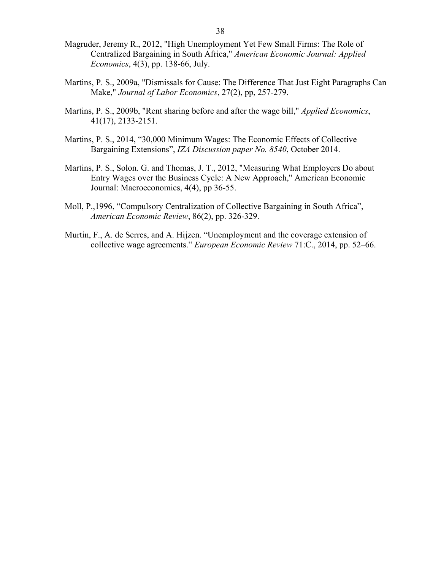- Magruder, Jeremy R., 2012, "High Unemployment Yet Few Small Firms: The Role of Centralized Bargaining in South Africa," *American Economic Journal: Applied Economics*, 4(3), pp. 138-66, July.
- Martins, P. S., 2009a, "Dismissals for Cause: The Difference That Just Eight Paragraphs Can Make," *Journal of Labor Economics*, 27(2), pp, 257-279.
- Martins, P. S., 2009b, "Rent sharing before and after the wage bill," *Applied Economics*, 41(17), 2133-2151.
- Martins, P. S., 2014, "30,000 Minimum Wages: The Economic Effects of Collective Bargaining Extensions", *IZA Discussion paper No. 8540*, October 2014.
- Martins, P. S., Solon. G. and Thomas, J. T., 2012, "Measuring What Employers Do about Entry Wages over the Business Cycle: A New Approach," American Economic Journal: Macroeconomics, 4(4), pp 36-55.
- Moll, P.,1996, "Compulsory Centralization of Collective Bargaining in South Africa", *American Economic Review*, 86(2), pp. 326-329.
- Murtin, F., A. de Serres, and A. Hijzen. "Unemployment and the coverage extension of collective wage agreements." *European Economic Review* 71:C., 2014, pp. 52–66.